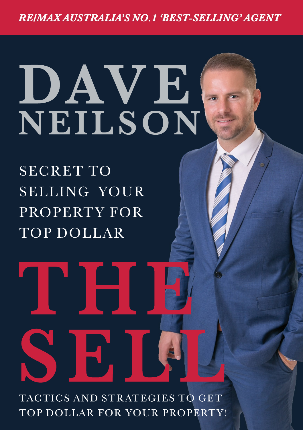**REIMAX AUSTRALIA'S NO. 1 'BEST-SELLING' AGENT** 

# DAVE<sup>[</sup> **NEILSON**

SECRET TO SELLING YOUR PROPERTY FOR TOP DOLLAR

**SELLE TANK** TOP DOLLAR FOR YOUR PROPERTY!

**THE**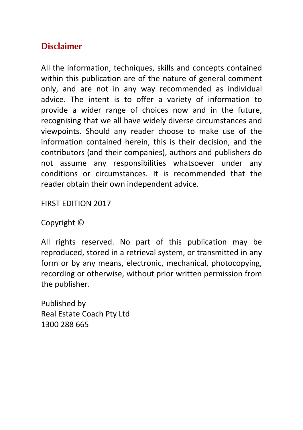#### **Disclaimer**

All the information, techniques, skills and concepts contained within this publication are of the nature of general comment only, and are not in any way recommended as individual advice. The intent is to offer a variety of information to provide a wider range of choices now and in the future, recognising that we all have widely diverse circumstances and viewpoints. Should any reader choose to make use of the information contained herein, this is their decision, and the contributors (and their companies), authors and publishers do not assume any responsibilities whatsoever under any conditions or circumstances. It is recommended that the reader obtain their own independent advice.

**FIRST FDITION 2017** 

#### Copyright  $\odot$

All rights reserved. No part of this publication may be reproduced, stored in a retrieval system, or transmitted in any form or by any means, electronic, mechanical, photocopying, recording or otherwise, without prior written permission from the publisher.

Published by Real Estate Coach Pty Ltd 1300 288 665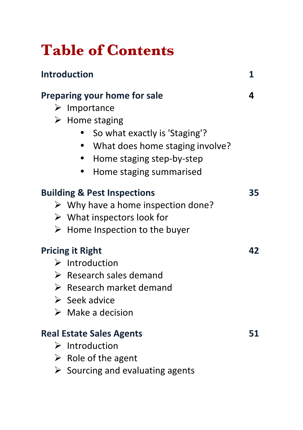# **Table of Contents**

| <b>Introduction</b>                               | 1  |
|---------------------------------------------------|----|
| Preparing your home for sale                      | 4  |
| $\triangleright$ Importance                       |    |
| $\triangleright$ Home staging                     |    |
| So what exactly is 'Staging'?                     |    |
| What does home staging involve?                   |    |
| Home staging step-by-step                         |    |
| Home staging summarised                           |    |
|                                                   |    |
| <b>Building &amp; Pest Inspections</b>            | 35 |
| $\triangleright$ Why have a home inspection done? |    |
| $\triangleright$ What inspectors look for         |    |
| $\triangleright$ Home Inspection to the buyer     |    |
| <b>Pricing it Right</b>                           | 42 |
| $\triangleright$ Introduction                     |    |
| $\triangleright$ Research sales demand            |    |
| $\triangleright$ Research market demand           |    |
| $\triangleright$ Seek advice                      |    |
| $\triangleright$ Make a decision                  |    |
| <b>Real Estate Sales Agents</b>                   | 51 |
| $\triangleright$ Introduction                     |    |
| $\triangleright$ Role of the agent                |    |
| $\triangleright$ Sourcing and evaluating agents   |    |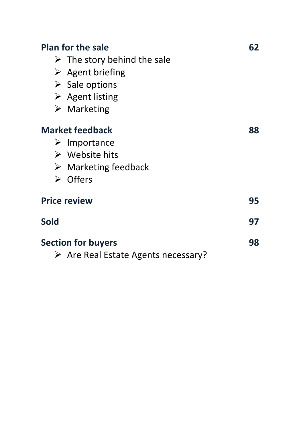| <b>Plan for the sale</b><br>$\triangleright$ The story behind the sale<br>$\triangleright$ Agent briefing<br>$\triangleright$ Sale options<br>$\triangleright$ Agent listing<br>$\triangleright$ Marketing | 62 |
|------------------------------------------------------------------------------------------------------------------------------------------------------------------------------------------------------------|----|
| <b>Market feedback</b><br>$\triangleright$ Importance<br>$\triangleright$ Website hits<br>$\triangleright$ Marketing feedback<br>$\triangleright$ Offers                                                   | 88 |
| <b>Price review</b>                                                                                                                                                                                        | 95 |
| Sold                                                                                                                                                                                                       | 97 |
| <b>Section for buyers</b><br>$\triangleright$ Are Real Estate Agents necessary?                                                                                                                            | 98 |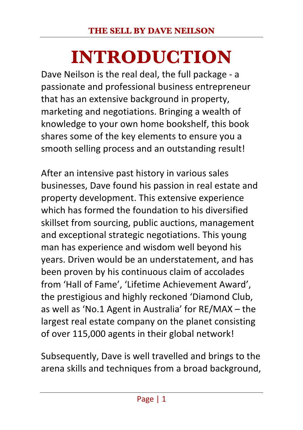# **INTRODUCTION**

Dave Neilson is the real deal, the full package - a passionate and professional business entrepreneur that has an extensive background in property, marketing and negotiations. Bringing a wealth of knowledge to your own home bookshelf, this book shares some of the key elements to ensure you a smooth selling process and an outstanding result!

After an intensive past history in various sales businesses, Dave found his passion in real estate and property development. This extensive experience which has formed the foundation to his diversified skillset from sourcing, public auctions, management and exceptional strategic negotiations. This young man has experience and wisdom well beyond his vears. Driven would be an understatement, and has been proven by his continuous claim of accolades from 'Hall of Fame', 'Lifetime Achievement Award', the prestigious and highly reckoned 'Diamond Club, as well as 'No.1 Agent in Australia' for  $RE/MAX - the$ largest real estate company on the planet consisting of over 115,000 agents in their global network!

Subsequently, Dave is well travelled and brings to the arena skills and techniques from a broad background,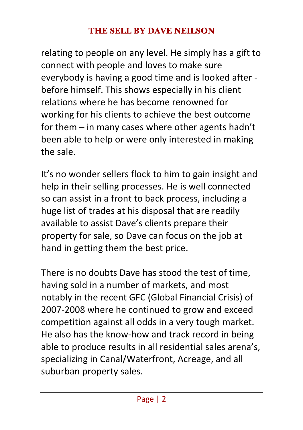relating to people on any level. He simply has a gift to connect with people and loves to make sure everybody is having a good time and is looked after before himself. This shows especially in his client relations where he has become renowned for working for his clients to achieve the best outcome for them  $-$  in many cases where other agents hadn't been able to help or were only interested in making the sale.

It's no wonder sellers flock to him to gain insight and help in their selling processes. He is well connected so can assist in a front to back process, including a huge list of trades at his disposal that are readily available to assist Dave's clients prepare their property for sale, so Dave can focus on the job at hand in getting them the best price.

There is no doubts Dave has stood the test of time. having sold in a number of markets, and most notably in the recent GFC (Global Financial Crisis) of 2007-2008 where he continued to grow and exceed competition against all odds in a very tough market. He also has the know-how and track record in being able to produce results in all residential sales arena's. specializing in Canal/Waterfront, Acreage, and all suburban property sales.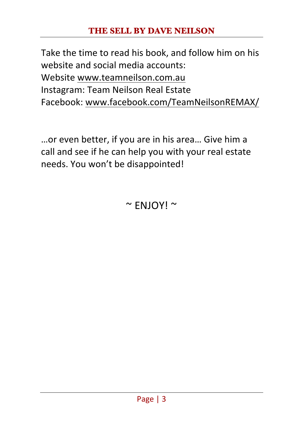#### **THE SELL BY DAVE NEILSON**

Take the time to read his book, and follow him on his website and social media accounts: Website www.teamneilson.com.au Instagram: Team Neilson Real Estate Facebook: www.facebook.com/TeamNeilsonREMAX/

...or even better, if you are in his area... Give him a call and see if he can help you with your real estate needs. You won't be disappointed!

 $~\sim$  FNJOY!  $~\sim$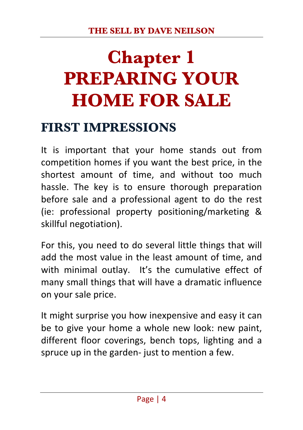# **Chapter 1 PREPARING YOUR HOME FOR SALE**

### **FIRST IMPRESSIONS**

It is important that your home stands out from competition homes if you want the best price, in the shortest amount of time, and without too much hassle. The key is to ensure thorough preparation before sale and a professional agent to do the rest (ie: professional property positioning/marketing & skillful negotiation).

For this, you need to do several little things that will add the most value in the least amount of time, and with minimal outlay. It's the cumulative effect of many small things that will have a dramatic influence on your sale price.

It might surprise you how inexpensive and easy it can be to give your home a whole new look: new paint, different floor coverings, bench tops, lighting and a spruce up in the garden- just to mention a few.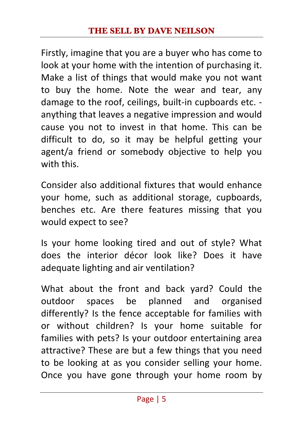Firstly, imagine that you are a buyer who has come to look at your home with the intention of purchasing it. Make a list of things that would make you not want to buy the home. Note the wear and tear, any damage to the roof, ceilings, built-in cupboards etc. anything that leaves a negative impression and would cause you not to invest in that home. This can be difficult to do, so it may be helpful getting your agent/a friend or somebody objective to help you with this.

Consider also additional fixtures that would enhance your home, such as additional storage, cupboards, benches etc. Are there features missing that you would expect to see?

Is your home looking tired and out of style? What does the interior décor look like? Does it have adequate lighting and air ventilation?

What about the front and back yard? Could the outdoor spaces be planned and organised differently? Is the fence acceptable for families with or without children? Is your home suitable for families with pets? Is your outdoor entertaining area attractive? These are but a few things that you need to be looking at as you consider selling your home. Once you have gone through your home room by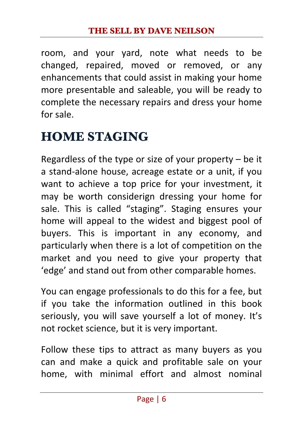room, and your yard, note what needs to be changed, repaired, moved or removed, or any enhancements that could assist in making your home more presentable and saleable, you will be ready to complete the necessary repairs and dress your home for sale.

# **HOME STAGING**

Regardless of the type or size of your property  $-$  be it a stand-alone house, acreage estate or a unit, if you want to achieve a top price for your investment, it may be worth considerign dressing your home for sale. This is called "staging". Staging ensures your home will appeal to the widest and biggest pool of buyers. This is important in any economy, and particularly when there is a lot of competition on the market and you need to give your property that 'edge' and stand out from other comparable homes.

You can engage professionals to do this for a fee, but if you take the information outlined in this book seriously, you will save yourself a lot of money. It's not rocket science, but it is very important.

Follow these tips to attract as many buyers as you can and make a quick and profitable sale on your home, with minimal effort and almost nominal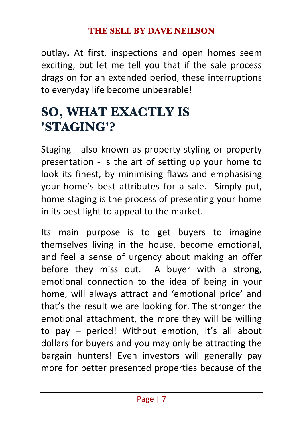outlay. At first, inspections and open homes seem exciting, but let me tell you that if the sale process drags on for an extended period, these interruptions to everyday life become unbearable!

# **SO, WHAT EXACTLY IS 'STAGING'?**

Staging - also known as property-styling or property presentation - is the art of setting up your home to look its finest, by minimising flaws and emphasising your home's best attributes for a sale. Simply put, home staging is the process of presenting your home in its best light to appeal to the market.

Its main purpose is to get buyers to imagine themselves living in the house, become emotional, and feel a sense of urgency about making an offer before they miss out. A buyer with a strong, emotional connection to the idea of being in your home, will always attract and 'emotional price' and that's the result we are looking for. The stronger the emotional attachment, the more they will be willing to pay  $-$  period! Without emotion, it's all about dollars for buyers and you may only be attracting the bargain hunters! Even investors will generally pay more for better presented properties because of the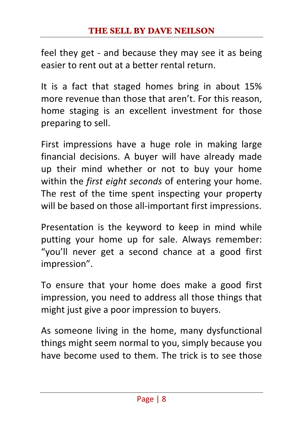feel they get - and because they may see it as being easier to rent out at a better rental return.

It is a fact that staged homes bring in about 15% more revenue than those that aren't. For this reason, home staging is an excellent investment for those preparing to sell.

First impressions have a huge role in making large financial decisions. A buyer will have already made up their mind whether or not to buy your home within the *first eight seconds* of entering your home. The rest of the time spent inspecting your property will be based on those all-important first impressions.

Presentation is the keyword to keep in mind while putting your home up for sale. Always remember: "you'll never get a second chance at a good first impression".

To ensure that your home does make a good first impression, you need to address all those things that might just give a poor impression to buyers.

As someone living in the home, many dysfunctional things might seem normal to you, simply because you have become used to them. The trick is to see those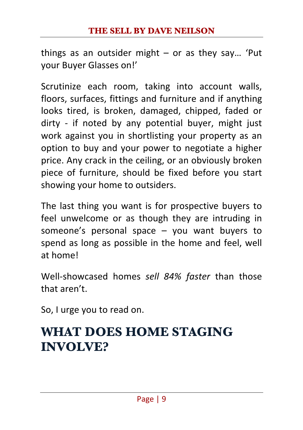things as an outsider might  $-$  or as they say... 'Put your Buyer Glasses on!'

Scrutinize each room, taking into account walls, floors, surfaces, fittings and furniture and if anything looks tired, is broken, damaged, chipped, faded or dirty - if noted by any potential buyer, might just work against you in shortlisting your property as an option to buy and your power to negotiate a higher price. Any crack in the ceiling, or an obviously broken piece of furniture, should be fixed before you start showing your home to outsiders.

The last thing you want is for prospective buyers to feel unwelcome or as though they are intruding in someone's personal space  $-$  you want buyers to spend as long as possible in the home and feel, well at home!

Well-showcased homes sell 84% faster than those that aren't.

So, I urge you to read on.

## **WHAT DOES HOME STAGING INVOLVE?**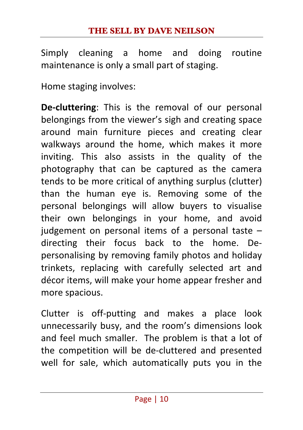Simply cleaning a home and doing routine maintenance is only a small part of staging.

Home staging involves:

**De-cluttering:** This is the removal of our personal belongings from the viewer's sigh and creating space around main furniture pieces and creating clear walkways around the home, which makes it more inviting. This also assists in the quality of the photography that can be captured as the camera tends to be more critical of anything surplus (clutter) than the human eye is. Removing some of the personal belongings will allow buyers to visualise their own belongings in your home, and avoid judgement on personal items of a personal taste  $$ directing their focus back to the home. Depersonalising by removing family photos and holiday trinkets, replacing with carefully selected art and décor items, will make your home appear fresher and more spacious.

Clutter is off-putting and makes a place look unnecessarily busy, and the room's dimensions look and feel much smaller. The problem is that a lot of the competition will be de-cluttered and presented well for sale, which automatically puts you in the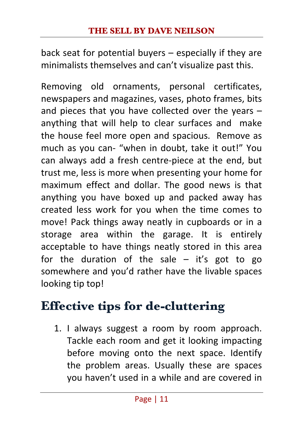back seat for potential buyers  $-$  especially if they are minimalists themselves and can't visualize past this.

Removing old ornaments, personal certificates, newspapers and magazines, vases, photo frames, bits and pieces that you have collected over the years  $$ anything that will help to clear surfaces and make the house feel more open and spacious. Remove as much as you can- "when in doubt, take it out!" You can always add a fresh centre-piece at the end, but trust me, less is more when presenting your home for maximum effect and dollar. The good news is that anything you have boxed up and packed away has created less work for you when the time comes to move! Pack things away neatly in cupboards or in a storage area within the garage. It is entirely acceptable to have things neatly stored in this area for the duration of the sale  $-$  it's got to go somewhere and you'd rather have the livable spaces looking tip top!

# **Effective tips for de-cluttering**

1. I always suggest a room by room approach. Tackle each room and get it looking impacting before moving onto the next space. Identify the problem areas. Usually these are spaces you haven't used in a while and are covered in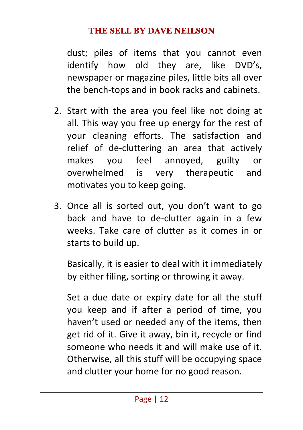#### **THE SELL BY DAVE NEILSON**

dust; piles of items that you cannot even identify how old they are, like DVD's, newspaper or magazine piles, little bits all over the bench-tops and in book racks and cabinets.

- 2. Start with the area you feel like not doing at all. This way you free up energy for the rest of your cleaning efforts. The satisfaction and relief of de-cluttering an area that actively makes you feel annoyed, guilty or overwhelmed is very therapeutic and motivates you to keep going.
- 3. Once all is sorted out, you don't want to go back and have to de-clutter again in a few weeks. Take care of clutter as it comes in or starts to build up.

Basically, it is easier to deal with it immediately by either filing, sorting or throwing it away.

Set a due date or expiry date for all the stuff you keep and if after a period of time, you haven't used or needed any of the items, then get rid of it. Give it away, bin it, recycle or find someone who needs it and will make use of it. Otherwise, all this stuff will be occupying space and clutter your home for no good reason.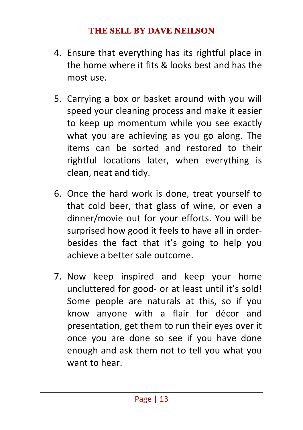- 4. Ensure that everything has its rightful place in the home where it fits  $&$  looks best and has the most use.
- 5. Carrying a box or basket around with you will speed your cleaning process and make it easier to keep up momentum while you see exactly what you are achieving as you go along. The items can be sorted and restored to their rightful locations later, when everything is clean, neat and tidy.
- 6. Once the hard work is done, treat yourself to that cold beer, that glass of wine, or even a dinner/movie out for your efforts. You will be surprised how good it feels to have all in orderbesides the fact that it's going to help you achieve a better sale outcome.
- 7. Now keep inspired and keep your home uncluttered for good- or at least until it's sold! Some people are naturals at this, so if you know anyone with a flair for décor and presentation, get them to run their eyes over it once you are done so see if you have done enough and ask them not to tell you what you want to hear.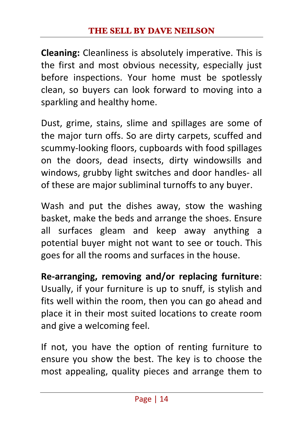**Cleaning:** Cleanliness is absolutely imperative. This is the first and most obvious necessity, especially just before inspections. Your home must be spotlessly clean, so buyers can look forward to moving into a sparkling and healthy home.

Dust, grime, stains, slime and spillages are some of the major turn offs. So are dirty carpets, scuffed and scummy-looking floors, cupboards with food spillages on the doors, dead insects, dirty windowsills and windows, grubby light switches and door handles- all of these are major subliminal turnoffs to any buyer.

Wash and put the dishes away, stow the washing basket, make the beds and arrange the shoes. Ensure all surfaces gleam and keep away anything a potential buyer might not want to see or touch. This goes for all the rooms and surfaces in the house.

**Re-arranging, removing and/or replacing furniture**: Usually, if your furniture is up to snuff, is stylish and fits well within the room, then you can go ahead and place it in their most suited locations to create room and give a welcoming feel.

If not, you have the option of renting furniture to ensure you show the best. The key is to choose the most appealing, quality pieces and arrange them to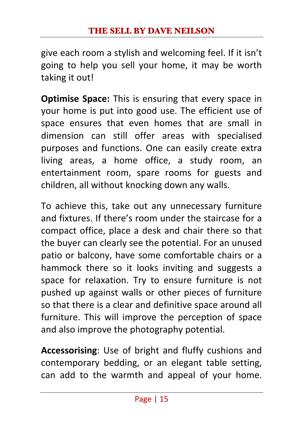give each room a stylish and welcoming feel. If it isn't going to help you sell your home, it may be worth taking it out!

**Optimise Space:** This is ensuring that every space in your home is put into good use. The efficient use of space ensures that even homes that are small in dimension can still offer areas with specialised purposes and functions. One can easily create extra living areas, a home office, a study room, an entertainment room, spare rooms for guests and children, all without knocking down any walls.

To achieve this, take out any unnecessary furniture and fixtures. If there's room under the staircase for a compact office, place a desk and chair there so that the buyer can clearly see the potential. For an unused patio or balcony, have some comfortable chairs or a hammock there so it looks inviting and suggests a space for relaxation. Try to ensure furniture is not pushed up against walls or other pieces of furniture so that there is a clear and definitive space around all furniture. This will improve the perception of space and also improve the photography potential.

**Accessorising:** Use of bright and fluffy cushions and contemporary bedding, or an elegant table setting, can add to the warmth and appeal of your home.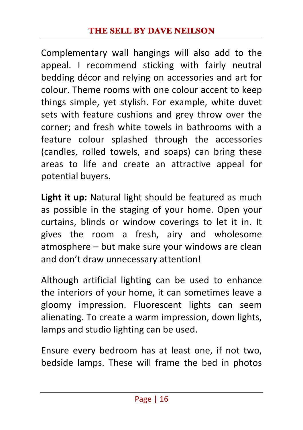Complementary wall hangings will also add to the appeal. I recommend sticking with fairly neutral bedding décor and relying on accessories and art for colour. Theme rooms with one colour accent to keep things simple, yet stylish. For example, white duvet sets with feature cushions and grey throw over the corner; and fresh white towels in bathrooms with a feature colour splashed through the accessories (candles, rolled towels, and soaps) can bring these areas to life and create an attractive appeal for potential buyers. 

**Light it up:** Natural light should be featured as much as possible in the staging of your home. Open your curtains, blinds or window coverings to let it in. It gives the room a fresh, airy and wholesome  $atmosphere - but make sure your windows are clean$ and don't draw unnecessary attention!

Although artificial lighting can be used to enhance the interiors of your home, it can sometimes leave a gloomy impression. Fluorescent lights can seem alienating. To create a warm impression, down lights, lamps and studio lighting can be used.

Ensure every bedroom has at least one, if not two, bedside lamps. These will frame the bed in photos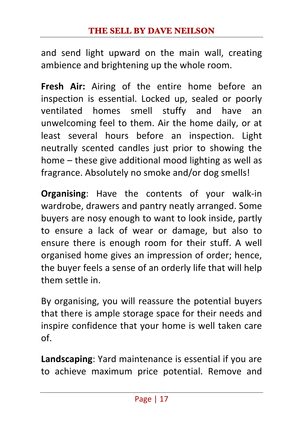and send light upward on the main wall, creating ambience and brightening up the whole room.

**Fresh Air:** Airing of the entire home before an inspection is essential. Locked up, sealed or poorly ventilated homes smell stuffy and have an unwelcoming feel to them. Air the home daily, or at least several hours before an inspection. Light neutrally scented candles just prior to showing the home  $-$  these give additional mood lighting as well as fragrance. Absolutely no smoke and/or dog smells!

**Organising:** Have the contents of your walk-in wardrobe, drawers and pantry neatly arranged. Some buyers are nosy enough to want to look inside, partly to ensure a lack of wear or damage, but also to ensure there is enough room for their stuff. A well organised home gives an impression of order; hence, the buver feels a sense of an orderly life that will help them settle in.

By organising, you will reassure the potential buyers that there is ample storage space for their needs and inspire confidence that your home is well taken care of.

**Landscaping:** Yard maintenance is essential if you are to achieve maximum price potential. Remove and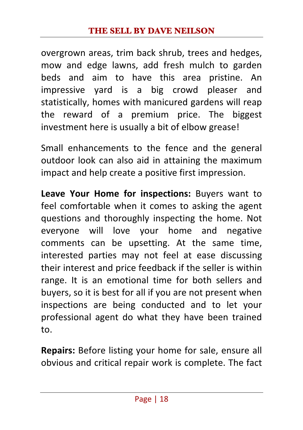overgrown areas, trim back shrub, trees and hedges, mow and edge lawns, add fresh mulch to garden beds and aim to have this area pristine. An impressive yard is a big crowd pleaser and statistically, homes with manicured gardens will reap the reward of a premium price. The biggest investment here is usually a bit of elbow grease!

Small enhancements to the fence and the general outdoor look can also aid in attaining the maximum impact and help create a positive first impression.

**Leave Your Home for inspections:** Buyers want to feel comfortable when it comes to asking the agent questions and thoroughly inspecting the home. Not everyone will love your home and negative comments can be upsetting. At the same time, interested parties may not feel at ease discussing their interest and price feedback if the seller is within range. It is an emotional time for both sellers and buyers, so it is best for all if you are not present when inspections are being conducted and to let your professional agent do what they have been trained to.

**Repairs:** Before listing your home for sale, ensure all obvious and critical repair work is complete. The fact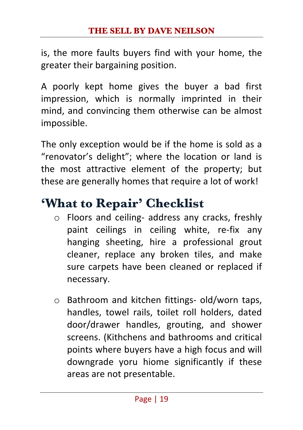is, the more faults buyers find with your home, the greater their bargaining position.

A poorly kept home gives the buyer a bad first impression, which is normally imprinted in their mind, and convincing them otherwise can be almost impossible.

The only exception would be if the home is sold as a "renovator's delight"; where the location or land is the most attractive element of the property; but these are generally homes that require a lot of work!

# **'What to Repair' Checklist**

- $\circ$  Floors and ceiling- address any cracks, freshly paint ceilings in ceiling white, re-fix any hanging sheeting, hire a professional grout cleaner, replace any broken tiles, and make sure carpets have been cleaned or replaced if necessary.
- $\circ$  Bathroom and kitchen fittings- old/worn taps, handles, towel rails, toilet roll holders, dated door/drawer handles, grouting, and shower screens. (Kithchens and bathrooms and critical points where buyers have a high focus and will downgrade yoru hiome significantly if these areas are not presentable.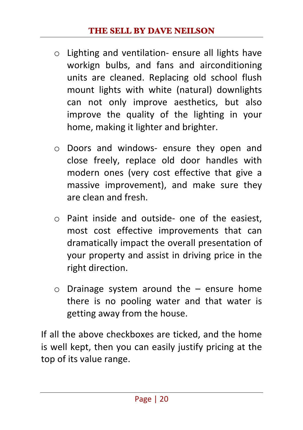- $\circ$  Lighting and ventilation- ensure all lights have workign bulbs, and fans and airconditioning units are cleaned. Replacing old school flush mount lights with white (natural) downlights can not only improve aesthetics, but also improve the quality of the lighting in your home, making it lighter and brighter.
- o Doors and windows- ensure they open and close freely, replace old door handles with modern ones (very cost effective that give a massive improvement), and make sure they are clean and fresh.
- $\circ$  Paint inside and outside- one of the easiest, most cost effective improvements that can dramatically impact the overall presentation of your property and assist in driving price in the right direction.
- $\circ$  Drainage system around the  $-$  ensure home there is no pooling water and that water is getting away from the house.

If all the above checkboxes are ticked, and the home is well kept, then you can easily justify pricing at the top of its value range.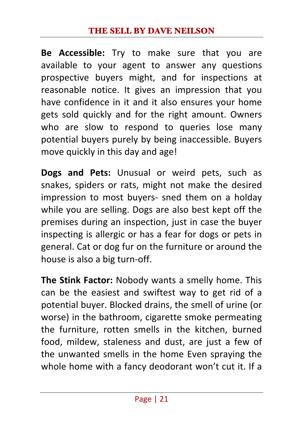#### **THE SELL BY DAVE NEILSON**

**Be** Accessible: Try to make sure that you are available to your agent to answer any questions prospective buyers might, and for inspections at reasonable notice. It gives an impression that you have confidence in it and it also ensures your home gets sold quickly and for the right amount. Owners who are slow to respond to queries lose many potential buyers purely by being inaccessible. Buyers move quickly in this day and age!

**Dogs and Pets:** Unusual or weird pets, such as snakes, spiders or rats, might not make the desired impression to most buvers- sned them on a holday while you are selling. Dogs are also best kept off the premises during an inspection, just in case the buyer inspecting is allergic or has a fear for dogs or pets in general. Cat or dog fur on the furniture or around the house is also a big turn-off.

**The Stink Factor:** Nobody wants a smelly home. This can be the easiest and swiftest way to get rid of a potential buyer. Blocked drains, the smell of urine (or worse) in the bathroom, cigarette smoke permeating the furniture, rotten smells in the kitchen, burned food, mildew, staleness and dust, are just a few of the unwanted smells in the home Even spraying the whole home with a fancy deodorant won't cut it. If a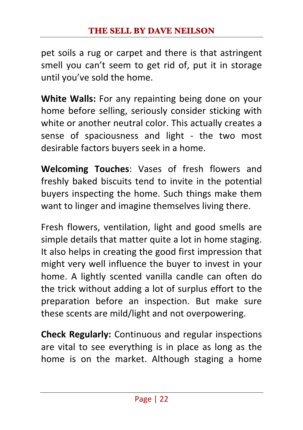pet soils a rug or carpet and there is that astringent smell you can't seem to get rid of, put it in storage until you've sold the home.

**White Walls:** For any repainting being done on your home before selling, seriously consider sticking with white or another neutral color. This actually creates a sense of spaciousness and light - the two most desirable factors buyers seek in a home.

**Welcoming Touches:** Vases of fresh flowers and freshly baked biscuits tend to invite in the potential buyers inspecting the home. Such things make them want to linger and imagine themselves living there.

Fresh flowers, ventilation, light and good smells are simple details that matter quite a lot in home staging. It also helps in creating the good first impression that might very well influence the buver to invest in your home. A lightly scented vanilla candle can often do the trick without adding a lot of surplus effort to the preparation before an inspection. But make sure these scents are mild/light and not overpowering.

**Check Regularly:** Continuous and regular inspections are vital to see everything is in place as long as the home is on the market. Although staging a home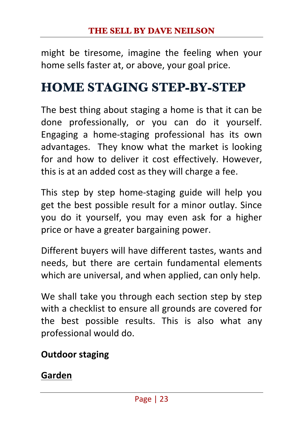might be tiresome, imagine the feeling when your home sells faster at, or above, your goal price.

## **HOME STAGING STEP-BY-STEP**

The best thing about staging a home is that it can be done professionally, or you can do it yourself. Engaging a home-staging professional has its own advantages. They know what the market is looking for and how to deliver it cost effectively. However, this is at an added cost as they will charge a fee.

This step by step home-staging guide will help you get the best possible result for a minor outlay. Since you do it yourself, you may even ask for a higher price or have a greater bargaining power.

Different buyers will have different tastes, wants and needs, but there are certain fundamental elements which are universal, and when applied, can only help.

We shall take you through each section step by step with a checklist to ensure all grounds are covered for the best possible results. This is also what any professional would do.

#### **Outdoor staging**

#### **Garden**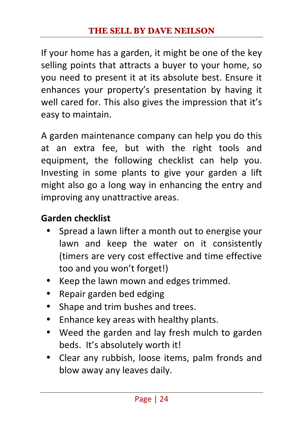If your home has a garden, it might be one of the key selling points that attracts a buyer to your home, so you need to present it at its absolute best. Ensure it enhances your property's presentation by having it well cared for. This also gives the impression that it's easy to maintain.

A garden maintenance company can help you do this at an extra fee, but with the right tools and equipment, the following checklist can help you. Investing in some plants to give your garden a lift might also go a long way in enhancing the entry and improving any unattractive areas.

#### Garden checklist

- Spread a lawn lifter a month out to energise your lawn and keep the water on it consistently (timers are very cost effective and time effective too and you won't forget!)
- Keep the lawn mown and edges trimmed.
- Repair garden bed edging
- Shape and trim bushes and trees.
- Enhance key areas with healthy plants.
- Weed the garden and lay fresh mulch to garden beds. It's absolutely worth it!
- Clear any rubbish, loose items, palm fronds and blow away any leaves daily.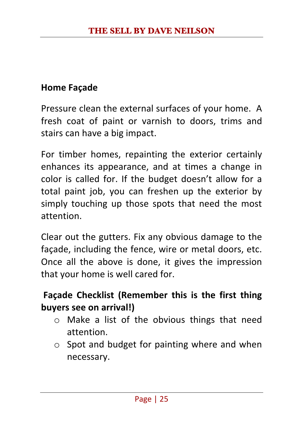#### **Home Facade**

Pressure clean the external surfaces of your home. A fresh coat of paint or varnish to doors, trims and stairs can have a big impact.

For timber homes, repainting the exterior certainly enhances its appearance, and at times a change in color is called for. If the budget doesn't allow for a total paint job, you can freshen up the exterior by simply touching up those spots that need the most attention. 

Clear out the gutters. Fix any obvious damage to the facade, including the fence, wire or metal doors, etc. Once all the above is done, it gives the impression that your home is well cared for.

#### **Façade Checklist (Remember this is the first thing buyers see on arrival!)**

- $\circ$  Make a list of the obvious things that need attention.
- $\circ$  Spot and budget for painting where and when necessary.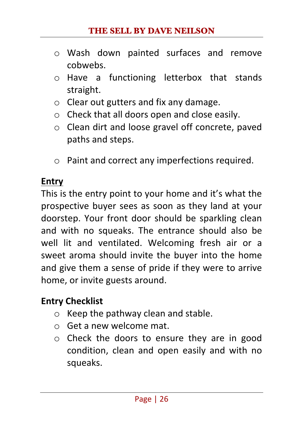- o Wash down painted surfaces and remove cobwebs.
- $\circ$  Have a functioning letterbox that stands straight.
- $\circ$  Clear out gutters and fix any damage.
- $\circ$  Check that all doors open and close easily.
- o Clean dirt and loose gravel off concrete, paved paths and steps.
- $\circ$  Paint and correct any imperfections required.

#### **Entry**

This is the entry point to your home and it's what the prospective buyer sees as soon as they land at your doorstep. Your front door should be sparkling clean and with no squeaks. The entrance should also be well lit and ventilated. Welcoming fresh air or a sweet aroma should invite the buyer into the home and give them a sense of pride if they were to arrive home, or invite guests around.

#### **Entry Checklist**

- $\circ$  Keep the pathway clean and stable.
- $\circ$  Get a new welcome mat.
- $\circ$  Check the doors to ensure they are in good condition, clean and open easily and with no squeaks.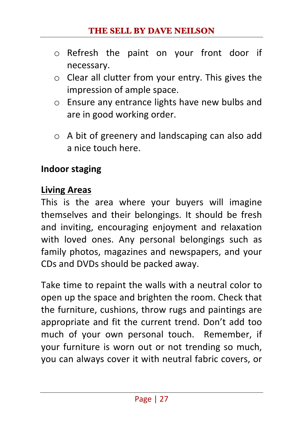- $\circ$  Refresh the paint on your front door if necessary.
- $\circ$  Clear all clutter from your entry. This gives the impression of ample space.
- $\circ$  Ensure any entrance lights have new bulbs and are in good working order.
- $\circ$  A bit of greenery and landscaping can also add a nice touch here.

#### **Indoor staging**

#### **Living Areas**

This is the area where your buyers will imagine themselves and their belongings. It should be fresh and inviting, encouraging enjoyment and relaxation with loved ones. Any personal belongings such as family photos, magazines and newspapers, and your CDs and DVDs should be packed away.

Take time to repaint the walls with a neutral color to open up the space and brighten the room. Check that the furniture, cushions, throw rugs and paintings are appropriate and fit the current trend. Don't add too much of your own personal touch. Remember, if your furniture is worn out or not trending so much, you can always cover it with neutral fabric covers, or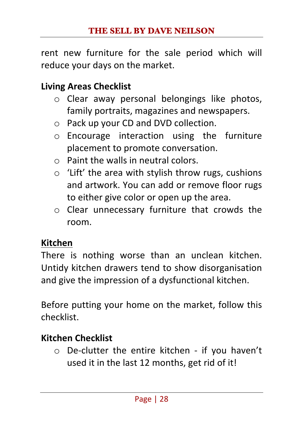rent new furniture for the sale period which will reduce your days on the market.

#### **Living Areas Checklist**

- $\circ$  Clear away personal belongings like photos, family portraits, magazines and newspapers.
- $\circ$  Pack up your CD and DVD collection.
- $\circ$  Encourage interaction using the furniture placement to promote conversation.
- $\circ$  Paint the walls in neutral colors.
- $\circ$  'Lift' the area with stylish throw rugs, cushions and artwork. You can add or remove floor rugs to either give color or open up the area.
- $\circ$  Clear unnecessary furniture that crowds the room.

#### **Kitchen**

There is nothing worse than an unclean kitchen. Untidy kitchen drawers tend to show disorganisation and give the impression of a dysfunctional kitchen.

Before putting your home on the market, follow this checklist. 

#### **Kitchen Checklist**

 $\circ$  De-clutter the entire kitchen - if you haven't used it in the last 12 months, get rid of it!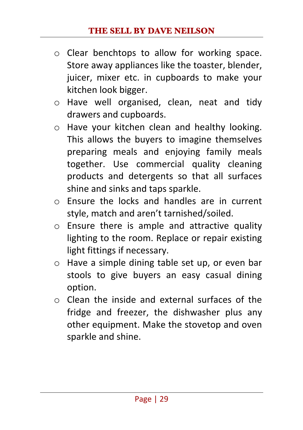- $\circ$  Clear benchtops to allow for working space. Store away appliances like the toaster, blender, juicer, mixer etc. in cupboards to make your kitchen look bigger.
- o Have well organised, clean, neat and tidy drawers and cupboards.
- $\circ$  Have your kitchen clean and healthy looking. This allows the buyers to imagine themselves preparing meals and enjoying family meals together. Use commercial quality cleaning products and detergents so that all surfaces shine and sinks and taps sparkle.
- $\circ$  Ensure the locks and handles are in current style, match and aren't tarnished/soiled.
- $\circ$  Ensure there is ample and attractive quality lighting to the room. Replace or repair existing light fittings if necessary.
- $\circ$  Have a simple dining table set up, or even bar stools to give buyers an easy casual dining option.
- $\circ$  Clean the inside and external surfaces of the fridge and freezer, the dishwasher plus any other equipment. Make the stovetop and oven sparkle and shine.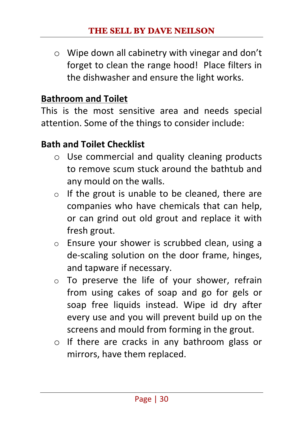$\circ$  Wipe down all cabinetry with vinegar and don't forget to clean the range hood! Place filters in the dishwasher and ensure the light works.

#### **Bathroom and Toilet**

This is the most sensitive area and needs special attention. Some of the things to consider include:

#### **Bath and Toilet Checklist**

- $\circ$  Use commercial and quality cleaning products to remove scum stuck around the bathtub and any mould on the walls.
- $\circ$  If the grout is unable to be cleaned, there are companies who have chemicals that can help. or can grind out old grout and replace it with fresh grout.
- $\circ$  Ensure your shower is scrubbed clean, using a de-scaling solution on the door frame, hinges, and tapware if necessary.
- $\circ$  To preserve the life of your shower, refrain from using cakes of soap and go for gels or soap free liquids instead. Wipe id dry after every use and you will prevent build up on the screens and mould from forming in the grout.
- $\circ$  If there are cracks in any bathroom glass or mirrors, have them replaced.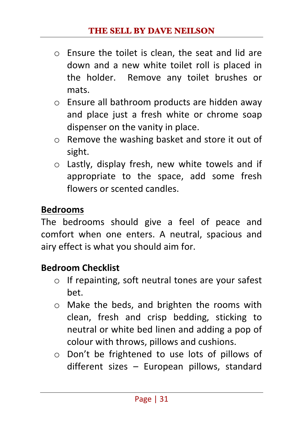- $\circ$  Ensure the toilet is clean, the seat and lid are down and a new white toilet roll is placed in the holder. Remove any toilet brushes or mats.
- $\circ$  Ensure all bathroom products are hidden away and place just a fresh white or chrome soap dispenser on the vanity in place.
- $\circ$  Remove the washing basket and store it out of sight.
- $\circ$  Lastly, display fresh, new white towels and if appropriate to the space, add some fresh flowers or scented candles.

#### **Bedrooms**

The bedrooms should give a feel of peace and comfort when one enters. A neutral, spacious and airy effect is what you should aim for.

#### **Bedroom Checklist**

- $\circ$  If repainting, soft neutral tones are your safest bet.
- $\circ$  Make the beds, and brighten the rooms with clean, fresh and crisp bedding, sticking to neutral or white bed linen and adding a pop of colour with throws, pillows and cushions.
- o Don't be frightened to use lots of pillows of  $d$ ifferent sizes – European pillows, standard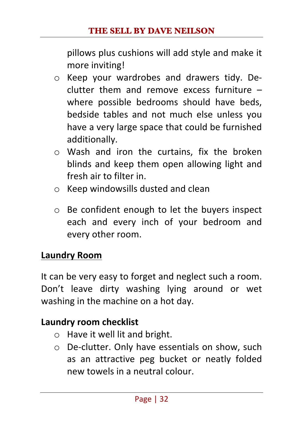pillows plus cushions will add style and make it more inviting!

- $\circ$  Keep your wardrobes and drawers tidy. De $clutter$  them and remove excess furniture  $$ where possible bedrooms should have beds, bedside tables and not much else unless you have a very large space that could be furnished additionally.
- $\circ$  Wash and iron the curtains, fix the broken blinds and keep them open allowing light and fresh air to filter in.
- $\circ$  Keep windowsills dusted and clean
- $\circ$  Be confident enough to let the buyers inspect each and every inch of your bedroom and every other room.

#### **Laundry Room**

It can be very easy to forget and neglect such a room. Don't leave dirty washing lying around or wet washing in the machine on a hot day.

#### **Laundry room checklist**

- $\circ$  Have it well lit and bright.
- $\circ$  De-clutter. Only have essentials on show, such as an attractive peg bucket or neatly folded new towels in a neutral colour.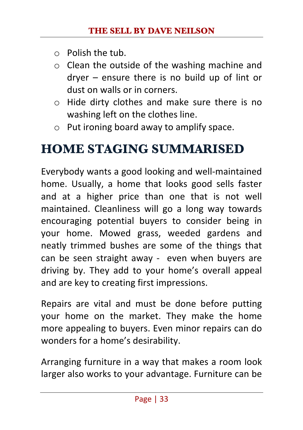- $\circ$  Polish the tub.
- $\circ$  Clean the outside of the washing machine and  $d$ rver – ensure there is no build up of lint or dust on walls or in corners.
- $\circ$  Hide dirty clothes and make sure there is no washing left on the clothes line.
- $\circ$  Put ironing board away to amplify space.

## **HOME STAGING SUMMARISED**

Everybody wants a good looking and well-maintained home. Usually, a home that looks good sells faster and at a higher price than one that is not well maintained. Cleanliness will go a long way towards encouraging potential buyers to consider being in your home. Mowed grass, weeded gardens and neatly trimmed bushes are some of the things that can be seen straight away - even when buyers are driving by. They add to your home's overall appeal and are key to creating first impressions.

Repairs are vital and must be done before putting vour home on the market. They make the home more appealing to buyers. Even minor repairs can do wonders for a home's desirability.

Arranging furniture in a way that makes a room look larger also works to your advantage. Furniture can be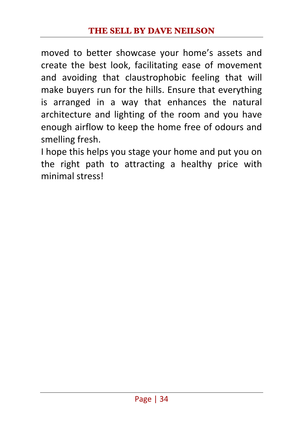moved to better showcase your home's assets and create the best look, facilitating ease of movement and avoiding that claustrophobic feeling that will make buyers run for the hills. Ensure that everything is arranged in a way that enhances the natural architecture and lighting of the room and you have enough airflow to keep the home free of odours and smelling fresh.

I hope this helps you stage your home and put you on the right path to attracting a healthy price with minimal stress!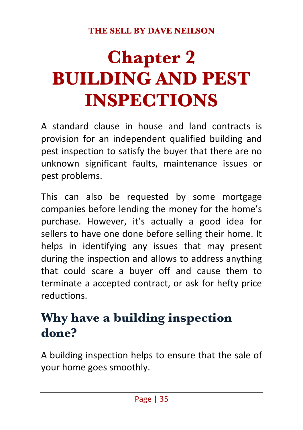# **Chapter 2 BUILDING AND PEST INSPECTIONS**

A standard clause in house and land contracts is provision for an independent qualified building and pest inspection to satisfy the buyer that there are no unknown significant faults, maintenance issues or pest problems.

This can also be requested by some mortgage companies before lending the money for the home's purchase. However, it's actually a good idea for sellers to have one done before selling their home. It helps in identifying any issues that may present during the inspection and allows to address anything that could scare a buyer off and cause them to terminate a accepted contract, or ask for hefty price reductions.

# **Why have a building inspection done?**

A building inspection helps to ensure that the sale of your home goes smoothly.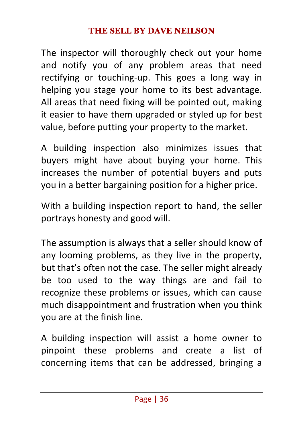The inspector will thoroughly check out your home and notify you of any problem areas that need rectifying or touching-up. This goes a long way in helping you stage your home to its best advantage. All areas that need fixing will be pointed out, making it easier to have them upgraded or styled up for best value, before putting your property to the market.

A building inspection also minimizes issues that buyers might have about buying your home. This increases the number of potential buyers and puts you in a better bargaining position for a higher price.

With a building inspection report to hand, the seller portrays honesty and good will.

The assumption is always that a seller should know of any looming problems, as they live in the property, but that's often not the case. The seller might already be too used to the way things are and fail to recognize these problems or issues, which can cause much disappointment and frustration when you think you are at the finish line.

A building inspection will assist a home owner to pinpoint these problems and create a list of concerning items that can be addressed, bringing a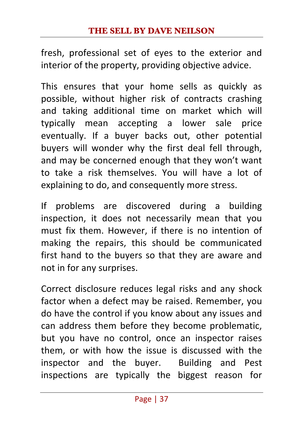fresh, professional set of eyes to the exterior and interior of the property, providing objective advice.

This ensures that your home sells as quickly as possible, without higher risk of contracts crashing and taking additional time on market which will typically mean accepting a lower sale price eventually. If a buyer backs out, other potential buyers will wonder why the first deal fell through, and may be concerned enough that they won't want to take a risk themselves. You will have a lot of explaining to do, and consequently more stress.

If problems are discovered during a building inspection, it does not necessarily mean that you must fix them. However, if there is no intention of making the repairs, this should be communicated first hand to the buyers so that they are aware and not in for any surprises.

Correct disclosure reduces legal risks and any shock factor when a defect may be raised. Remember, you do have the control if you know about any issues and can address them before they become problematic, but you have no control, once an inspector raises them, or with how the issue is discussed with the inspector and the buyer. Building and Pest inspections are typically the biggest reason for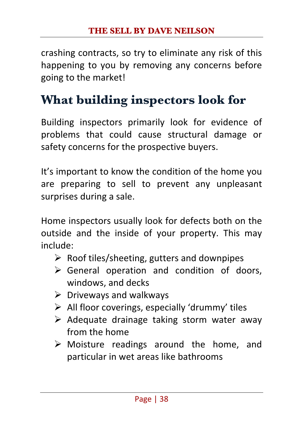crashing contracts, so try to eliminate any risk of this happening to you by removing any concerns before going to the market!

## **What building inspectors look for**

Building inspectors primarily look for evidence of problems that could cause structural damage or safety concerns for the prospective buyers.

It's important to know the condition of the home you are preparing to sell to prevent any unpleasant surprises during a sale.

Home inspectors usually look for defects both on the outside and the inside of your property. This may include:

- $\triangleright$  Roof tiles/sheeting, gutters and downpipes
- $\triangleright$  General operation and condition of doors, windows, and decks
- $\triangleright$  Driveways and walkways
- $\triangleright$  All floor coverings, especially 'drummy' tiles
- $\triangleright$  Adequate drainage taking storm water away from the home
- $\triangleright$  Moisture readings around the home, and particular in wet areas like bathrooms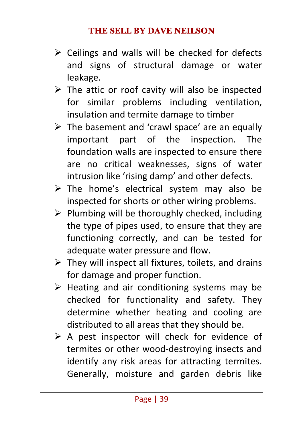- $\triangleright$  Ceilings and walls will be checked for defects and signs of structural damage or water leakage.
- $\triangleright$  The attic or roof cavity will also be inspected for similar problems including ventilation, insulation and termite damage to timber
- $\triangleright$  The basement and 'crawl space' are an equally important part of the inspection. The foundation walls are inspected to ensure there are no critical weaknesses, signs of water intrusion like 'rising damp' and other defects.
- $\triangleright$  The home's electrical system may also be inspected for shorts or other wiring problems.
- $\triangleright$  Plumbing will be thoroughly checked, including the type of pipes used, to ensure that they are functioning correctly, and can be tested for adequate water pressure and flow.
- $\triangleright$  They will inspect all fixtures, toilets, and drains for damage and proper function.
- $\triangleright$  Heating and air conditioning systems may be checked for functionality and safety. They determine whether heating and cooling are distributed to all areas that they should be.
- $\triangleright$  A pest inspector will check for evidence of termites or other wood-destroying insects and identify any risk areas for attracting termites. Generally, moisture and garden debris like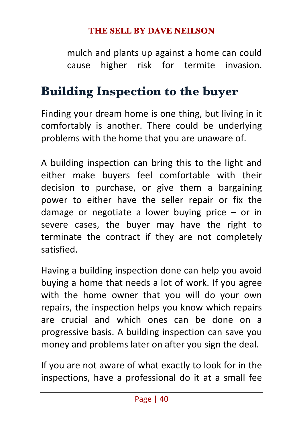mulch and plants up against a home can could cause higher risk for termite invasion.

## **Building Inspection to the buyer**

Finding your dream home is one thing, but living in it comfortably is another. There could be underlying problems with the home that you are unaware of.

A building inspection can bring this to the light and either make buyers feel comfortable with their decision to purchase, or give them a bargaining power to either have the seller repair or fix the damage or negotiate a lower buying price  $-$  or in severe cases, the buyer may have the right to terminate the contract if they are not completely satisfied.

Having a building inspection done can help you avoid buying a home that needs a lot of work. If you agree with the home owner that you will do your own repairs, the inspection helps you know which repairs are crucial and which ones can be done on a progressive basis. A building inspection can save you money and problems later on after you sign the deal.

If you are not aware of what exactly to look for in the inspections, have a professional do it at a small fee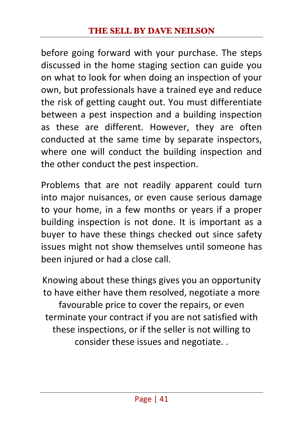before going forward with your purchase. The steps discussed in the home staging section can guide you on what to look for when doing an inspection of your own, but professionals have a trained eye and reduce the risk of getting caught out. You must differentiate between a pest inspection and a building inspection as these are different. However, they are often conducted at the same time by separate inspectors, where one will conduct the building inspection and the other conduct the pest inspection.

Problems that are not readily apparent could turn into major nuisances, or even cause serious damage to your home, in a few months or years if a proper building inspection is not done. It is important as a buyer to have these things checked out since safety issues might not show themselves until someone has been injured or had a close call.

Knowing about these things gives you an opportunity to have either have them resolved, negotiate a more favourable price to cover the repairs, or even terminate your contract if you are not satisfied with these inspections, or if the seller is not willing to consider these issues and negotiate. .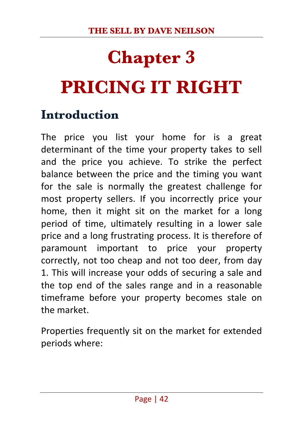# **Chapter 3 PRICING IT RIGHT**

### **Introduction**

The price you list your home for is a great determinant of the time your property takes to sell and the price you achieve. To strike the perfect balance between the price and the timing you want for the sale is normally the greatest challenge for most property sellers. If you incorrectly price your home, then it might sit on the market for a long period of time, ultimately resulting in a lower sale price and a long frustrating process. It is therefore of paramount important to price your property correctly, not too cheap and not too deer, from day 1. This will increase your odds of securing a sale and the top end of the sales range and in a reasonable timeframe before your property becomes stale on the market

Properties frequently sit on the market for extended periods where: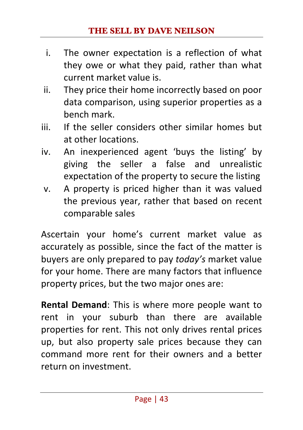- i. The owner expectation is a reflection of what they owe or what they paid, rather than what current market value is.
- ii. They price their home incorrectly based on poor data comparison, using superior properties as a bench mark.
- iii. If the seller considers other similar homes but at other locations.
- iv. An inexperienced agent 'buys the listing' by giving the seller a false and unrealistic expectation of the property to secure the listing
- v. A property is priced higher than it was valued the previous year, rather that based on recent comparable sales

Ascertain your home's current market value as accurately as possible, since the fact of the matter is buyers are only prepared to pay *today's* market value for your home. There are many factors that influence property prices, but the two major ones are:

**Rental Demand**: This is where more people want to rent in your suburb than there are available properties for rent. This not only drives rental prices up, but also property sale prices because they can command more rent for their owners and a better return on investment.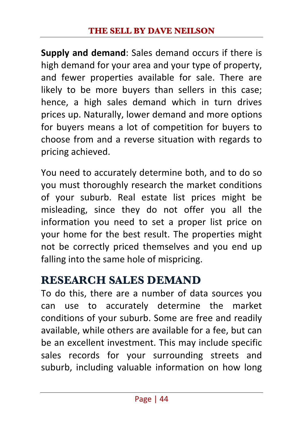**Supply and demand:** Sales demand occurs if there is high demand for your area and your type of property, and fewer properties available for sale. There are likely to be more buyers than sellers in this case; hence, a high sales demand which in turn drives prices up. Naturally, lower demand and more options for buyers means a lot of competition for buyers to choose from and a reverse situation with regards to pricing achieved.

You need to accurately determine both, and to do so you must thoroughly research the market conditions of your suburb. Real estate list prices might be misleading, since they do not offer you all the information you need to set a proper list price on your home for the best result. The properties might not be correctly priced themselves and you end up falling into the same hole of mispricing.

### **RESEARCH SALES DEMAND**

To do this, there are a number of data sources you can use to accurately determine the market conditions of your suburb. Some are free and readily available, while others are available for a fee, but can be an excellent investment. This may include specific sales records for your surrounding streets and suburb, including valuable information on how long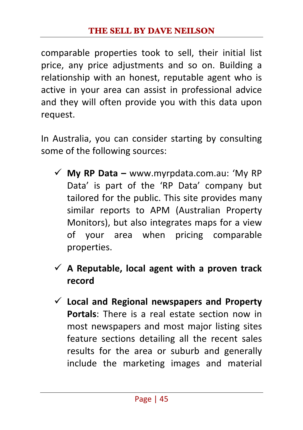comparable properties took to sell, their initial list price, any price adjustments and so on. Building a relationship with an honest, reputable agent who is active in your area can assist in professional advice and they will often provide you with this data upon request.

In Australia, you can consider starting by consulting some of the following sources:

- ü **My RP Data –** www.myrpdata.com.au: 'My RP Data' is part of the 'RP Data' company but tailored for the public. This site provides many similar reports to APM (Australian Property Monitors), but also integrates maps for a view of your area when pricing comparable properties.
- $\checkmark$  A Reputable, local agent with a proven track **record**
- $\checkmark$  Local and Regional newspapers and Property **Portals:** There is a real estate section now in most newspapers and most major listing sites feature sections detailing all the recent sales results for the area or suburb and generally include the marketing images and material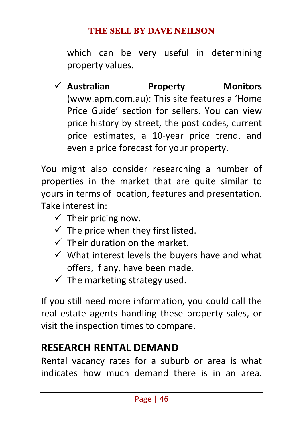which can be very useful in determining property values.

ü **Australian Property Monitors**  (www.apm.com.au): This site features a 'Home Price Guide' section for sellers. You can view price history by street, the post codes, current price estimates, a 10-year price trend, and even a price forecast for your property.

You might also consider researching a number of properties in the market that are quite similar to yours in terms of location, features and presentation. Take interest in:

- $\checkmark$  Their pricing now.
- $\checkmark$  The price when they first listed.
- $\checkmark$  Their duration on the market.
- $\checkmark$  What interest levels the buyers have and what offers, if any, have been made.
- $\checkmark$  The marketing strategy used.

If you still need more information, you could call the real estate agents handling these property sales, or visit the inspection times to compare.

#### **RESEARCH RENTAL DEMAND**

Rental vacancy rates for a suburb or area is what indicates how much demand there is in an area.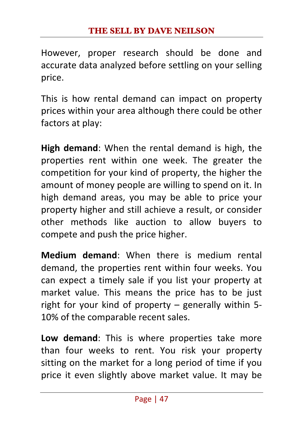However, proper research should be done and accurate data analyzed before settling on your selling price. 

This is how rental demand can impact on property prices within your area although there could be other factors at play:

**High demand:** When the rental demand is high, the properties rent within one week. The greater the competition for your kind of property, the higher the amount of money people are willing to spend on it. In high demand areas, you may be able to price your property higher and still achieve a result, or consider other methods like auction to allow buyers to compete and push the price higher.

**Medium demand:** When there is medium rental demand, the properties rent within four weeks. You can expect a timely sale if you list your property at market value. This means the price has to be just right for your kind of property – generally within 5-10% of the comparable recent sales.

Low demand: This is where properties take more than four weeks to rent. You risk your property sitting on the market for a long period of time if you price it even slightly above market value. It may be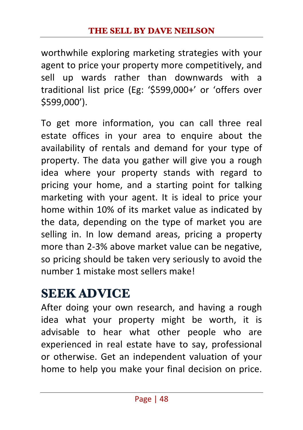worthwhile exploring marketing strategies with your agent to price your property more competitively, and sell up wards rather than downwards with a traditional list price (Eg: '\$599,000+' or 'offers over \$599,000').

To get more information, you can call three real estate offices in your area to enquire about the availability of rentals and demand for your type of property. The data you gather will give you a rough idea where your property stands with regard to pricing your home, and a starting point for talking marketing with your agent. It is ideal to price your home within 10% of its market value as indicated by the data, depending on the type of market you are selling in. In low demand areas, pricing a property more than 2-3% above market value can be negative, so pricing should be taken very seriously to avoid the number 1 mistake most sellers make!

## **SEEK ADVICE**

After doing your own research, and having a rough idea what your property might be worth, it is advisable to hear what other people who are experienced in real estate have to say, professional or otherwise. Get an independent valuation of your home to help you make your final decision on price.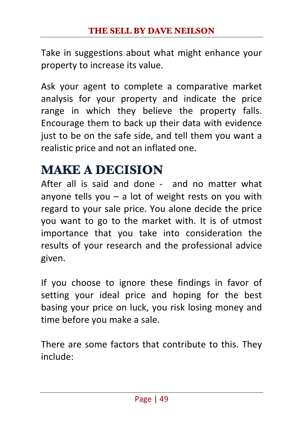Take in suggestions about what might enhance your property to increase its value.

Ask your agent to complete a comparative market analysis for your property and indicate the price range in which they believe the property falls. Encourage them to back up their data with evidence just to be on the safe side, and tell them you want a realistic price and not an inflated one.

# **MAKE A DECISION**

After all is said and done - and no matter what anyone tells you  $-$  a lot of weight rests on you with regard to your sale price. You alone decide the price you want to go to the market with. It is of utmost importance that you take into consideration the results of your research and the professional advice given. 

If you choose to ignore these findings in favor of setting your ideal price and hoping for the best basing your price on luck, you risk losing money and time before you make a sale.

There are some factors that contribute to this. They include: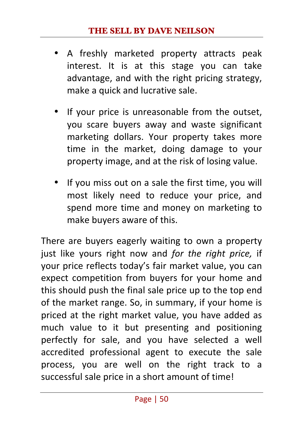- A freshly marketed property attracts peak interest. It is at this stage you can take advantage, and with the right pricing strategy, make a quick and lucrative sale.
- If your price is unreasonable from the outset, you scare buyers away and waste significant marketing dollars. Your property takes more time in the market, doing damage to your property image, and at the risk of losing value.
- If you miss out on a sale the first time, you will most likely need to reduce your price, and spend more time and money on marketing to make buyers aware of this.

There are buyers eagerly waiting to own a property just like yours right now and *for the right price*, if your price reflects today's fair market value, you can expect competition from buyers for your home and this should push the final sale price up to the top end of the market range. So, in summary, if your home is priced at the right market value, you have added as much value to it but presenting and positioning perfectly for sale, and you have selected a well accredited professional agent to execute the sale process, you are well on the right track to a successful sale price in a short amount of time!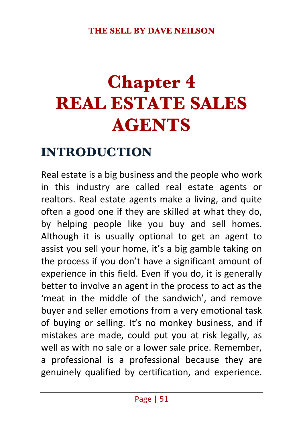# **Chapter 4 REAL ESTATE SALES AGENTS**

### **INTRODUCTION**

Real estate is a big business and the people who work in this industry are called real estate agents or realtors. Real estate agents make a living, and quite often a good one if they are skilled at what they do, by helping people like you buy and sell homes. Although it is usually optional to get an agent to assist you sell your home, it's a big gamble taking on the process if you don't have a significant amount of experience in this field. Even if you do, it is generally better to involve an agent in the process to act as the 'meat in the middle of the sandwich', and remove buver and seller emotions from a very emotional task of buying or selling. It's no monkey business, and if mistakes are made, could put you at risk legally, as well as with no sale or a lower sale price. Remember, a professional is a professional because they are genuinely qualified by certification, and experience.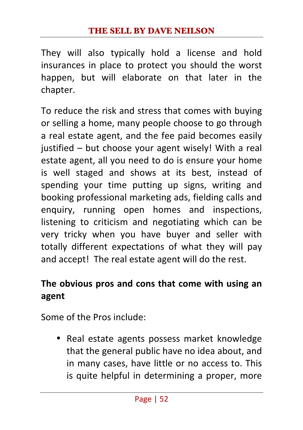They will also typically hold a license and hold insurances in place to protect you should the worst happen, but will elaborate on that later in the chapter. 

To reduce the risk and stress that comes with buying or selling a home, many people choose to go through a real estate agent, and the fee paid becomes easily justified  $-$  but choose your agent wisely! With a real estate agent, all you need to do is ensure your home is well staged and shows at its best, instead of spending your time putting up signs, writing and booking professional marketing ads, fielding calls and enquiry, running open homes and inspections, listening to criticism and negotiating which can be very tricky when you have buyer and seller with totally different expectations of what they will pay and accept! The real estate agent will do the rest.

#### The obvious pros and cons that come with using an **agent**

Some of the Pros include:

• Real estate agents possess market knowledge that the general public have no idea about, and in many cases, have little or no access to. This is quite helpful in determining a proper, more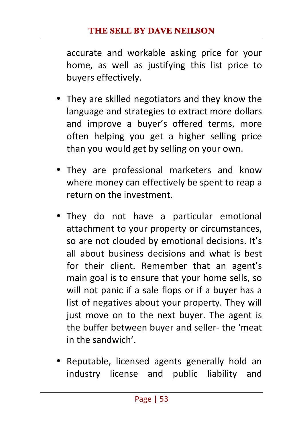accurate and workable asking price for your home, as well as justifying this list price to buvers effectively.

- They are skilled negotiators and they know the language and strategies to extract more dollars and improve a buyer's offered terms, more often helping you get a higher selling price than you would get by selling on your own.
- They are professional marketers and know where money can effectively be spent to reap a return on the investment.
- They do not have a particular emotional attachment to your property or circumstances, so are not clouded by emotional decisions. It's all about business decisions and what is best for their client. Remember that an agent's main goal is to ensure that your home sells, so will not panic if a sale flops or if a buyer has a list of negatives about your property. They will just move on to the next buyer. The agent is the buffer between buyer and seller- the 'meat in the sandwich'.
- Reputable, licensed agents generally hold an industry license and public liability and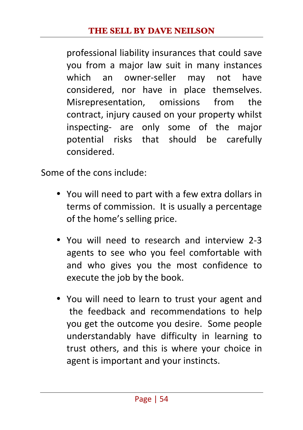professional liability insurances that could save you from a major law suit in many instances which an owner-seller may not have considered, nor have in place themselves. Misrepresentation, omissions from the contract, injury caused on your property whilst inspecting- are only some of the major potential risks that should be carefully considered. 

Some of the cons include:

- You will need to part with a few extra dollars in terms of commission. It is usually a percentage of the home's selling price.
- You will need to research and interview 2-3 agents to see who you feel comfortable with and who gives you the most confidence to execute the job by the book.
- You will need to learn to trust your agent and the feedback and recommendations to help you get the outcome you desire. Some people understandably have difficulty in learning to trust others, and this is where your choice in agent is important and your instincts.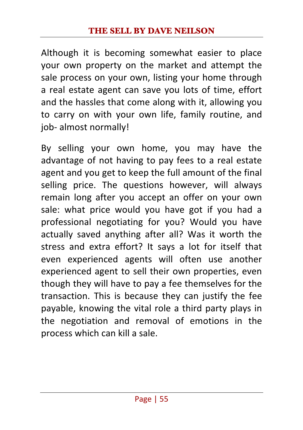Although it is becoming somewhat easier to place your own property on the market and attempt the sale process on your own, listing your home through a real estate agent can save you lots of time, effort and the hassles that come along with it, allowing you to carry on with your own life, family routine, and job- almost normally!

By selling your own home, you may have the advantage of not having to pay fees to a real estate agent and you get to keep the full amount of the final selling price. The questions however, will always remain long after you accept an offer on your own sale: what price would you have got if you had a professional negotiating for you? Would you have actually saved anything after all? Was it worth the stress and extra effort? It says a lot for itself that even experienced agents will often use another experienced agent to sell their own properties, even though they will have to pay a fee themselves for the transaction. This is because they can justify the fee payable, knowing the vital role a third party plays in the negotiation and removal of emotions in the process which can kill a sale.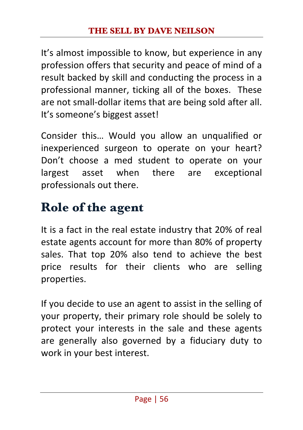It's almost impossible to know, but experience in any profession offers that security and peace of mind of a result backed by skill and conducting the process in a professional manner, ticking all of the boxes. These are not small-dollar items that are being sold after all. It's someone's biggest asset!

Consider this... Would you allow an unqualified or inexperienced surgeon to operate on your heart? Don't choose a med student to operate on your largest asset when there are exceptional professionals out there.

# **Role of the agent**

It is a fact in the real estate industry that 20% of real estate agents account for more than 80% of property sales. That top 20% also tend to achieve the best price results for their clients who are selling properties. 

If you decide to use an agent to assist in the selling of your property, their primary role should be solely to protect your interests in the sale and these agents are generally also governed by a fiduciary duty to work in your best interest.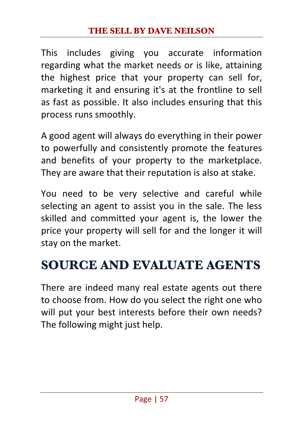This includes giving you accurate information regarding what the market needs or is like, attaining the highest price that your property can sell for, marketing it and ensuring it's at the frontline to sell as fast as possible. It also includes ensuring that this process runs smoothly.

A good agent will always do everything in their power to powerfully and consistently promote the features and benefits of your property to the marketplace. They are aware that their reputation is also at stake.

You need to be very selective and careful while selecting an agent to assist you in the sale. The less skilled and committed your agent is, the lower the price your property will sell for and the longer it will stay on the market.

# **SOURCE AND EVALUATE AGENTS**

There are indeed many real estate agents out there to choose from. How do you select the right one who will put your best interests before their own needs? The following might just help.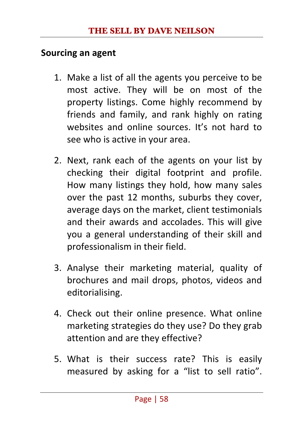#### **Sourcing an agent**

- 1. Make a list of all the agents you perceive to be most active. They will be on most of the property listings. Come highly recommend by friends and family, and rank highly on rating websites and online sources. It's not hard to see who is active in your area.
- 2. Next, rank each of the agents on your list by checking their digital footprint and profile. How many listings they hold, how many sales over the past 12 months, suburbs they cover, average days on the market, client testimonials and their awards and accolades. This will give you a general understanding of their skill and professionalism in their field.
- 3. Analyse their marketing material, quality of brochures and mail drops, photos, videos and editorialising.
- 4. Check out their online presence. What online marketing strategies do they use? Do they grab attention and are they effective?
- 5. What is their success rate? This is easily measured by asking for a "list to sell ratio".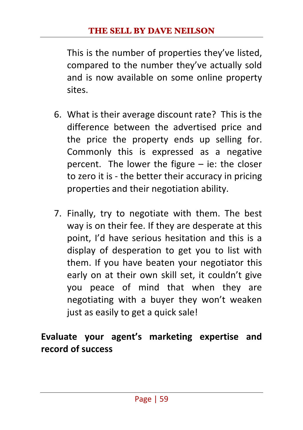This is the number of properties they've listed, compared to the number they've actually sold and is now available on some online property sites.

- 6. What is their average discount rate? This is the difference between the advertised price and the price the property ends up selling for. Commonly this is expressed as a negative percent. The lower the figure  $-$  ie: the closer to zero it is - the better their accuracy in pricing properties and their negotiation ability.
- 7. Finally, try to negotiate with them. The best way is on their fee. If they are desperate at this point. I'd have serious hesitation and this is a display of desperation to get you to list with them. If you have beaten your negotiator this early on at their own skill set, it couldn't give you peace of mind that when they are negotiating with a buyer they won't weaken just as easily to get a quick sale!

#### Evaluate your agent's marketing expertise and **record of success**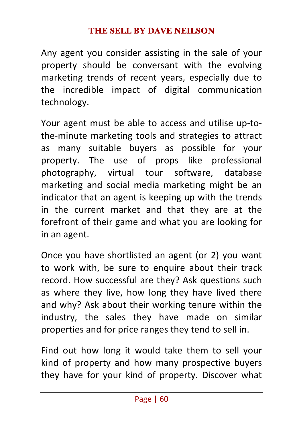Any agent you consider assisting in the sale of your property should be conversant with the evolving marketing trends of recent years, especially due to the incredible impact of digital communication technology. 

Your agent must be able to access and utilise up-tothe-minute marketing tools and strategies to attract as many suitable buyers as possible for your property. The use of props like professional photography, virtual tour software, database marketing and social media marketing might be an indicator that an agent is keeping up with the trends in the current market and that they are at the forefront of their game and what you are looking for in an agent.

Once you have shortlisted an agent (or 2) you want to work with, be sure to enquire about their track record. How successful are they? Ask questions such as where they live, how long they have lived there and why? Ask about their working tenure within the industry, the sales they have made on similar properties and for price ranges they tend to sell in.

Find out how long it would take them to sell your kind of property and how many prospective buyers they have for your kind of property. Discover what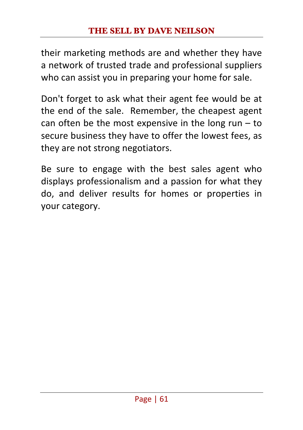their marketing methods are and whether they have a network of trusted trade and professional suppliers who can assist you in preparing your home for sale.

Don't forget to ask what their agent fee would be at the end of the sale. Remember, the cheapest agent can often be the most expensive in the long run  $-$  to secure business they have to offer the lowest fees, as they are not strong negotiators.

Be sure to engage with the best sales agent who displays professionalism and a passion for what they do, and deliver results for homes or properties in your category.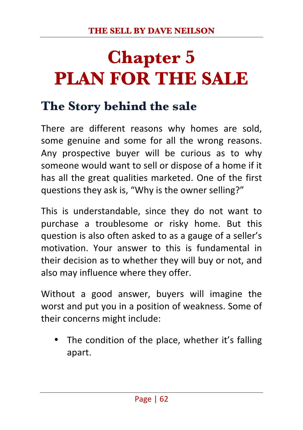# **Chapter 5 PLAN FOR THE SALE**

## **The Story behind the sale**

There are different reasons why homes are sold, some genuine and some for all the wrong reasons. Any prospective buyer will be curious as to why someone would want to sell or dispose of a home if it has all the great qualities marketed. One of the first questions they ask is, "Why is the owner selling?"

This is understandable, since they do not want to purchase a troublesome or risky home. But this question is also often asked to as a gauge of a seller's motivation. Your answer to this is fundamental in their decision as to whether they will buy or not, and also may influence where they offer.

Without a good answer, buyers will imagine the worst and put you in a position of weakness. Some of their concerns might include:

The condition of the place, whether it's falling apart.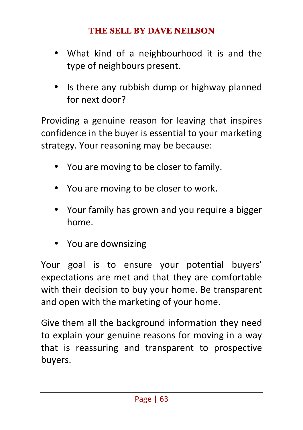- What kind of a neighbourhood it is and the type of neighbours present.
- Is there any rubbish dump or highway planned for next door?

Providing a genuine reason for leaving that inspires confidence in the buyer is essential to your marketing strategy. Your reasoning may be because:

- You are moving to be closer to family.
- You are moving to be closer to work.
- Your family has grown and you require a bigger home.
- You are downsizing

Your goal is to ensure your potential buyers' expectations are met and that they are comfortable with their decision to buy your home. Be transparent and open with the marketing of your home.

Give them all the background information they need to explain your genuine reasons for moving in a way that is reassuring and transparent to prospective buyers.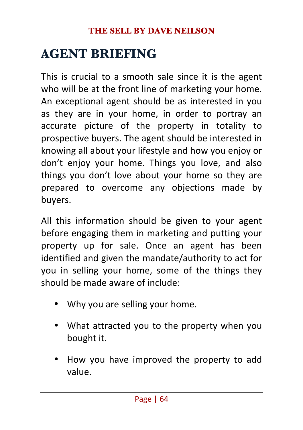## **AGENT BRIEFING**

This is crucial to a smooth sale since it is the agent who will be at the front line of marketing your home. An exceptional agent should be as interested in you as they are in your home, in order to portray an accurate picture of the property in totality to prospective buyers. The agent should be interested in knowing all about your lifestyle and how you enjoy or don't enjoy your home. Things you love, and also things you don't love about your home so they are prepared to overcome any objections made by buyers.

All this information should be given to your agent before engaging them in marketing and putting your property up for sale. Once an agent has been identified and given the mandate/authority to act for you in selling your home, some of the things they should be made aware of include:

- Why you are selling your home.
- What attracted you to the property when you bought it.
- How you have improved the property to add value.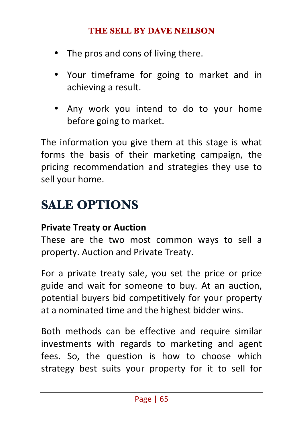- The pros and cons of living there.
- Your timeframe for going to market and in achieving a result.
- Any work you intend to do to your home before going to market.

The information you give them at this stage is what forms the basis of their marketing campaign, the pricing recommendation and strategies they use to sell your home.

# **SALE OPTIONS**

#### **Private Treaty or Auction**

These are the two most common ways to sell a property. Auction and Private Treaty.

For a private treaty sale, you set the price or price guide and wait for someone to buy. At an auction, potential buyers bid competitively for your property at a nominated time and the highest bidder wins.

Both methods can be effective and require similar investments with regards to marketing and agent fees. So, the question is how to choose which strategy best suits your property for it to sell for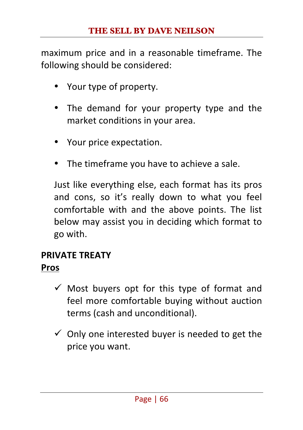maximum price and in a reasonable timeframe. The following should be considered:

- Your type of property.
- The demand for your property type and the market conditions in your area.
- Your price expectation.
- The timeframe you have to achieve a sale.

Just like everything else, each format has its pros and cons, so it's really down to what you feel comfortable with and the above points. The list below may assist you in deciding which format to go with.

### **PRIVATE TREATY**

#### **Pros**

- $\checkmark$  Most buyers opt for this type of format and feel more comfortable buying without auction terms (cash and unconditional).
- $\checkmark$  Only one interested buyer is needed to get the price you want.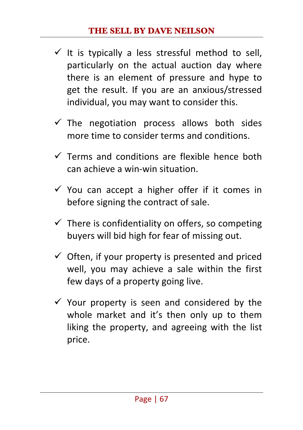- $\checkmark$  It is typically a less stressful method to sell, particularly on the actual auction day where there is an element of pressure and hype to get the result. If you are an anxious/stressed individual, you may want to consider this.
- $\checkmark$  The negotiation process allows both sides more time to consider terms and conditions.
- $\checkmark$  Terms and conditions are flexible hence both can achieve a win-win situation.
- $\checkmark$  You can accept a higher offer if it comes in before signing the contract of sale.
- $\checkmark$  There is confidentiality on offers, so competing buyers will bid high for fear of missing out.
- $\checkmark$  Often, if your property is presented and priced well, you may achieve a sale within the first few days of a property going live.
- $\checkmark$  Your property is seen and considered by the whole market and it's then only up to them liking the property, and agreeing with the list price.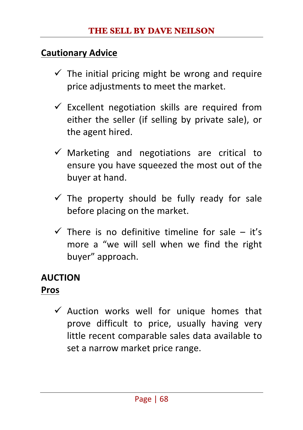#### **Cautionary Advice**

- $\checkmark$  The initial pricing might be wrong and require price adiustments to meet the market.
- $\checkmark$  Excellent negotiation skills are required from either the seller (if selling by private sale), or the agent hired.
- $\checkmark$  Marketing and negotiations are critical to ensure you have squeezed the most out of the buyer at hand.
- $\checkmark$  The property should be fully ready for sale before placing on the market.
- $\checkmark$  There is no definitive timeline for sale it's more a "we will sell when we find the right buyer" approach.

### **AUCTION**

#### **Pros**

 $\checkmark$  Auction works well for unique homes that prove difficult to price, usually having very little recent comparable sales data available to set a narrow market price range.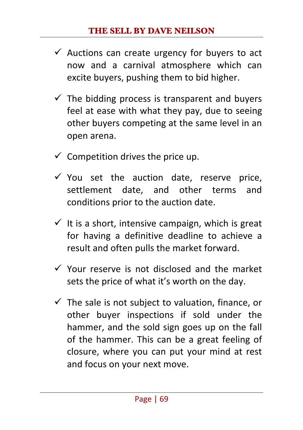- $\checkmark$  Auctions can create urgency for buyers to act now and a carnival atmosphere which can excite buyers, pushing them to bid higher.
- $\checkmark$  The bidding process is transparent and buyers feel at ease with what they pay, due to seeing other buvers competing at the same level in an open arena.
- $\checkmark$  Competition drives the price up.
- $\checkmark$  You set the auction date, reserve price, settlement date, and other terms and conditions prior to the auction date.
- $\checkmark$  It is a short, intensive campaign, which is great for having a definitive deadline to achieve a result and often pulls the market forward.
- $\checkmark$  Your reserve is not disclosed and the market sets the price of what it's worth on the day.
- $\checkmark$  The sale is not subject to valuation, finance, or other buyer inspections if sold under the hammer, and the sold sign goes up on the fall of the hammer. This can be a great feeling of closure, where you can put your mind at rest and focus on your next move.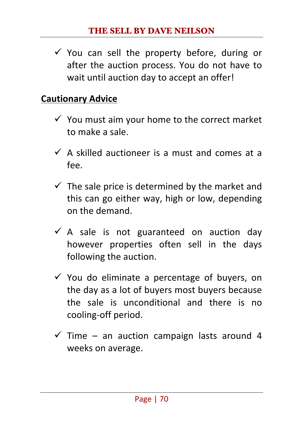$\checkmark$  You can sell the property before, during or after the auction process. You do not have to wait until auction day to accept an offer!

## **Cautionary Advice**

- $\checkmark$  You must aim your home to the correct market to make a sale.
- $\checkmark$  A skilled auctioneer is a must and comes at a fee.
- $\checkmark$  The sale price is determined by the market and this can go either way, high or low, depending on the demand.
- $\checkmark$  A sale is not guaranteed on auction day however properties often sell in the days following the auction.
- $\checkmark$  You do eliminate a percentage of buyers, on the day as a lot of buyers most buyers because the sale is unconditional and there is no cooling-off period.
- $\checkmark$  Time an auction campaign lasts around 4 weeks on average.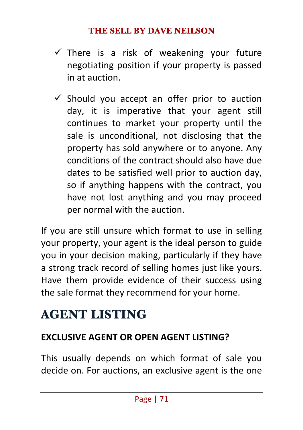- $\checkmark$  There is a risk of weakening vour future negotiating position if your property is passed in at auction.
- $\checkmark$  Should you accept an offer prior to auction day, it is imperative that your agent still continues to market your property until the sale is unconditional, not disclosing that the property has sold anywhere or to anyone. Any conditions of the contract should also have due dates to be satisfied well prior to auction day, so if anything happens with the contract, you have not lost anything and you may proceed per normal with the auction.

If you are still unsure which format to use in selling your property, your agent is the ideal person to guide you in your decision making, particularly if they have a strong track record of selling homes just like yours. Have them provide evidence of their success using the sale format they recommend for your home.

# **AGENT LISTING**

## **EXCLUSIVE AGENT OR OPEN AGENT LISTING?**

This usually depends on which format of sale you decide on. For auctions, an exclusive agent is the one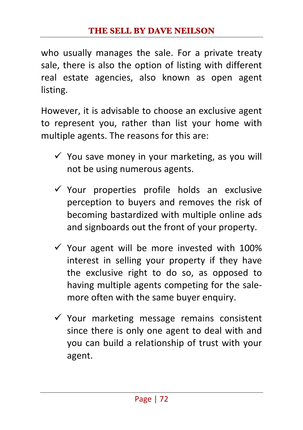who usually manages the sale. For a private treaty sale, there is also the option of listing with different real estate agencies, also known as open agent listing.

However, it is advisable to choose an exclusive agent to represent you, rather than list your home with multiple agents. The reasons for this are:

- $\checkmark$  You save money in your marketing, as you will not be using numerous agents.
- $\checkmark$  Your properties profile holds an exclusive perception to buyers and removes the risk of becoming bastardized with multiple online ads and signboards out the front of your property.
- $\checkmark$  Your agent will be more invested with 100% interest in selling your property if they have the exclusive right to do so, as opposed to having multiple agents competing for the salemore often with the same buyer enquiry.
- $\checkmark$  Your marketing message remains consistent since there is only one agent to deal with and you can build a relationship of trust with your agent.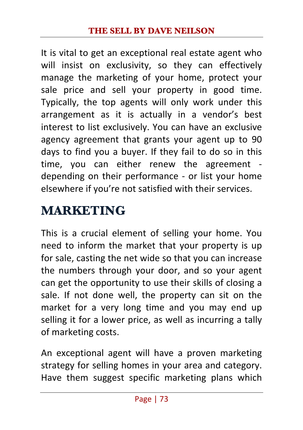It is vital to get an exceptional real estate agent who will insist on exclusivity, so they can effectively manage the marketing of your home, protect your sale price and sell your property in good time. Typically, the top agents will only work under this arrangement as it is actually in a vendor's best interest to list exclusively. You can have an exclusive agency agreement that grants your agent up to 90 days to find you a buyer. If they fail to do so in this time, you can either renew the agreement depending on their performance - or list your home elsewhere if you're not satisfied with their services.

## **MARKETING**

This is a crucial element of selling your home. You need to inform the market that your property is up for sale, casting the net wide so that you can increase the numbers through your door, and so your agent can get the opportunity to use their skills of closing a sale. If not done well, the property can sit on the market for a very long time and you may end up selling it for a lower price, as well as incurring a tally of marketing costs.

An exceptional agent will have a proven marketing strategy for selling homes in your area and category. Have them suggest specific marketing plans which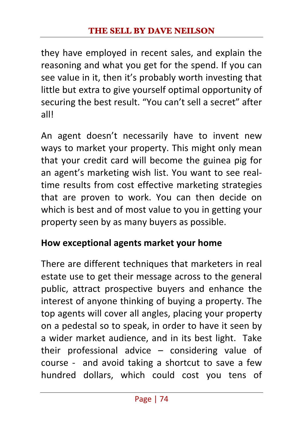they have employed in recent sales, and explain the reasoning and what you get for the spend. If you can see value in it, then it's probably worth investing that little but extra to give yourself optimal opportunity of securing the best result. "You can't sell a secret" after all!

An agent doesn't necessarily have to invent new ways to market your property. This might only mean that your credit card will become the guinea pig for an agent's marketing wish list. You want to see realtime results from cost effective marketing strategies that are proven to work. You can then decide on which is best and of most value to you in getting your property seen by as many buyers as possible.

## **How exceptional agents market your home**

There are different techniques that marketers in real estate use to get their message across to the general public, attract prospective buyers and enhance the interest of anyone thinking of buying a property. The top agents will cover all angles, placing your property on a pedestal so to speak, in order to have it seen by a wider market audience, and in its best light. Take their professional advice  $-$  considering value of course - and avoid taking a shortcut to save a few hundred dollars, which could cost you tens of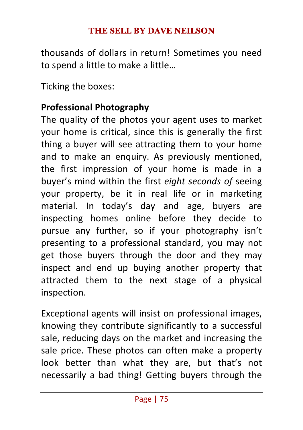thousands of dollars in return! Sometimes you need to spend a little to make a little...

Ticking the boxes:

## **Professional Photography**

The quality of the photos your agent uses to market your home is critical, since this is generally the first thing a buyer will see attracting them to your home and to make an enquiry. As previously mentioned, the first impression of your home is made in a buyer's mind within the first *eight seconds of* seeing your property, be it in real life or in marketing material. In today's day and age, buyers are inspecting homes online before they decide to pursue any further, so if your photography isn't presenting to a professional standard, you may not get those buyers through the door and they may inspect and end up buying another property that attracted them to the next stage of a physical inspection.

Exceptional agents will insist on professional images, knowing they contribute significantly to a successful sale, reducing days on the market and increasing the sale price. These photos can often make a property look better than what they are, but that's not necessarily a bad thing! Getting buyers through the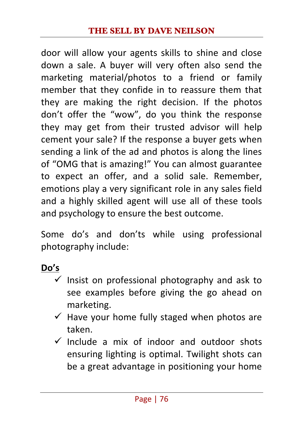door will allow your agents skills to shine and close down a sale. A buyer will very often also send the marketing material/photos to a friend or family member that they confide in to reassure them that they are making the right decision. If the photos don't offer the "wow", do you think the response they may get from their trusted advisor will help cement your sale? If the response a buyer gets when sending a link of the ad and photos is along the lines of "OMG that is amazing!" You can almost guarantee to expect an offer, and a solid sale. Remember, emotions play a very significant role in any sales field and a highly skilled agent will use all of these tools and psychology to ensure the best outcome.

Some do's and don'ts while using professional photography include:

**Do's**

- $\checkmark$  Insist on professional photography and ask to see examples before giving the go ahead on marketing.
- $\checkmark$  Have vour home fully staged when photos are taken.
- $\checkmark$  Include a mix of indoor and outdoor shots ensuring lighting is optimal. Twilight shots can be a great advantage in positioning your home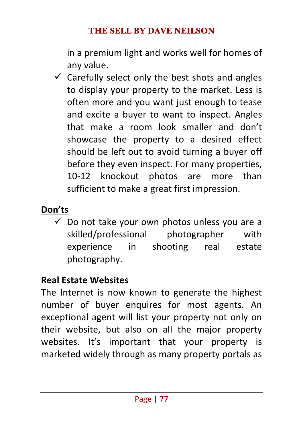in a premium light and works well for homes of any value.

 $\checkmark$  Carefully select only the best shots and angles to display your property to the market. Less is often more and you want just enough to tease and excite a buyer to want to inspect. Angles that make a room look smaller and don't showcase the property to a desired effect should be left out to avoid turning a buyer off before they even inspect. For many properties, 10-12 knockout photos are more than sufficient to make a great first impression.

## **Don'ts**

 $\checkmark$  Do not take your own photos unless you are a skilled/professional photographer with experience in shooting real estate photography.

## **Real Estate Websites**

The Internet is now known to generate the highest number of buyer enquires for most agents. An exceptional agent will list your property not only on their website, but also on all the major property websites. It's important that your property is marketed widely through as many property portals as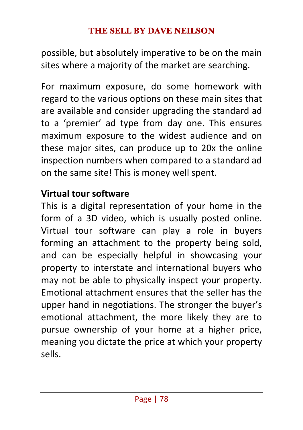possible, but absolutely imperative to be on the main sites where a majority of the market are searching.

For maximum exposure, do some homework with regard to the various options on these main sites that are available and consider upgrading the standard ad to a 'premier' ad type from day one. This ensures maximum exposure to the widest audience and on these major sites, can produce up to 20x the online inspection numbers when compared to a standard ad on the same site! This is money well spent.

## **Virtual tour software**

This is a digital representation of your home in the form of a 3D video, which is usually posted online. Virtual tour software can play a role in buyers forming an attachment to the property being sold, and can be especially helpful in showcasing your property to interstate and international buyers who may not be able to physically inspect your property. Emotional attachment ensures that the seller has the upper hand in negotiations. The stronger the buyer's emotional attachment, the more likely they are to pursue ownership of your home at a higher price, meaning you dictate the price at which your property sells.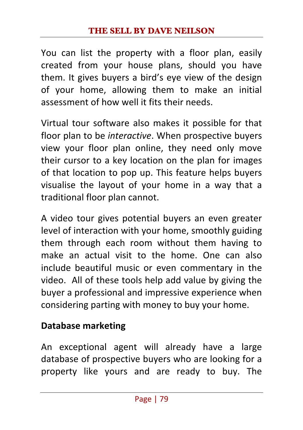You can list the property with a floor plan, easily created from your house plans, should you have them. It gives buyers a bird's eye view of the design of your home, allowing them to make an initial assessment of how well it fits their needs.

Virtual tour software also makes it possible for that floor plan to be *interactive*. When prospective buyers view your floor plan online, they need only move their cursor to a key location on the plan for images of that location to pop up. This feature helps buyers visualise the layout of your home in a way that a traditional floor plan cannot.

A video tour gives potential buyers an even greater level of interaction with your home, smoothly guiding them through each room without them having to make an actual visit to the home. One can also include beautiful music or even commentary in the video. All of these tools help add value by giving the buyer a professional and impressive experience when considering parting with money to buy your home.

## **Database marketing**

An exceptional agent will already have a large database of prospective buyers who are looking for a property like yours and are ready to buy. The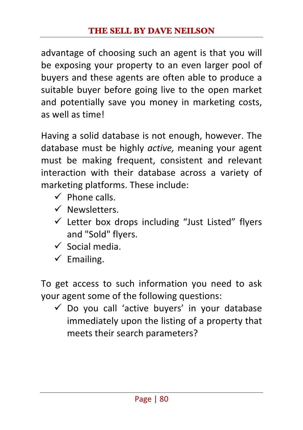advantage of choosing such an agent is that you will be exposing your property to an even larger pool of buyers and these agents are often able to produce a suitable buyer before going live to the open market and potentially save you money in marketing costs, as well as time!

Having a solid database is not enough, however. The database must be highly *active*, meaning your agent must be making frequent, consistent and relevant interaction with their database across a variety of marketing platforms. These include:

- $\checkmark$  Phone calls.
- $\checkmark$  Newsletters.
- $\checkmark$  Letter box drops including "Just Listed" flyers and "Sold" flyers.
- $\checkmark$  Social media.
- $\checkmark$  Emailing.

To get access to such information you need to ask your agent some of the following questions:

 $\checkmark$  Do you call 'active buyers' in your database immediately upon the listing of a property that meets their search parameters?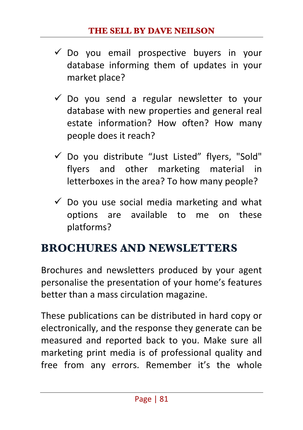- $\checkmark$  Do you email prospective buyers in your database informing them of updates in your market place?
- $\checkmark$  Do you send a regular newsletter to your database with new properties and general real estate information? How often? How many people does it reach?
- $\checkmark$  Do you distribute "Just Listed" flyers, "Sold" flyers and other marketing material in letterboxes in the area? To how many people?
- $\checkmark$  Do you use social media marketing and what options are available to me on these platforms?

## **BROCHURES AND NEWSLETTERS**

Brochures and newsletters produced by your agent personalise the presentation of your home's features better than a mass circulation magazine.

These publications can be distributed in hard copy or electronically, and the response they generate can be measured and reported back to you. Make sure all marketing print media is of professional quality and free from any errors. Remember it's the whole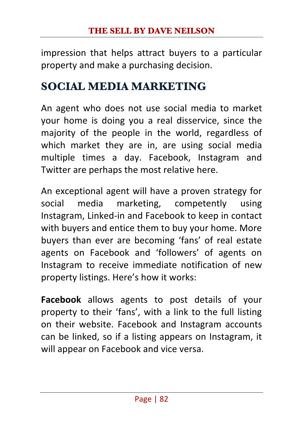impression that helps attract buyers to a particular property and make a purchasing decision.

## **SOCIAL MEDIA MARKETING**

An agent who does not use social media to market your home is doing you a real disservice, since the majority of the people in the world, regardless of which market they are in, are using social media multiple times a day. Facebook, Instagram and Twitter are perhaps the most relative here.

An exceptional agent will have a proven strategy for social media marketing, competently using Instagram, Linked-in and Facebook to keep in contact with buyers and entice them to buy your home. More buyers than ever are becoming 'fans' of real estate agents on Facebook and 'followers' of agents on Instagram to receive immediate notification of new property listings. Here's how it works:

Facebook allows agents to post details of your property to their 'fans', with a link to the full listing on their website. Facebook and Instagram accounts can be linked, so if a listing appears on Instagram, it will appear on Facebook and vice versa.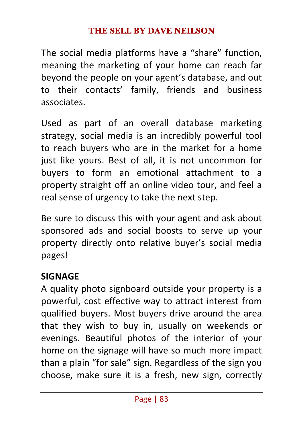The social media platforms have a "share" function, meaning the marketing of your home can reach far beyond the people on your agent's database, and out to their contacts' family, friends and business associates. 

Used as part of an overall database marketing strategy, social media is an incredibly powerful tool to reach buyers who are in the market for a home just like yours. Best of all, it is not uncommon for buyers to form an emotional attachment to a property straight off an online video tour, and feel a real sense of urgency to take the next step.

Be sure to discuss this with your agent and ask about sponsored ads and social boosts to serve up your property directly onto relative buyer's social media pages! 

## **SIGNAGE**

A quality photo signboard outside your property is a powerful, cost effective way to attract interest from qualified buyers. Most buyers drive around the area that they wish to buy in, usually on weekends or evenings. Beautiful photos of the interior of your home on the signage will have so much more impact than a plain "for sale" sign. Regardless of the sign you choose, make sure it is a fresh, new sign, correctly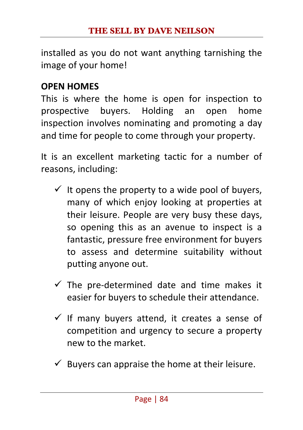installed as you do not want anything tarnishing the image of your home!

#### **OPEN HOMES**

This is where the home is open for inspection to prospective buyers. Holding an open home inspection involves nominating and promoting a day and time for people to come through your property.

It is an excellent marketing tactic for a number of reasons, including:

- $\checkmark$  It opens the property to a wide pool of buyers, many of which enjoy looking at properties at their leisure. People are very busy these days, so opening this as an avenue to inspect is a fantastic, pressure free environment for buyers to assess and determine suitability without putting anyone out.
- $\checkmark$  The pre-determined date and time makes it easier for buyers to schedule their attendance.
- $\checkmark$  If many buyers attend, it creates a sense of competition and urgency to secure a property new to the market.
- Buvers can appraise the home at their leisure.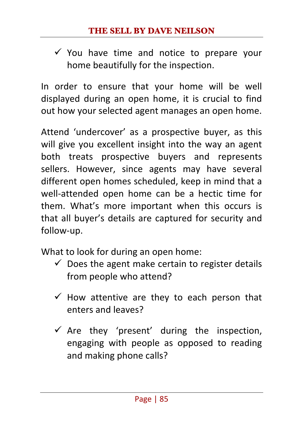$\checkmark$  You have time and notice to prepare your home beautifully for the inspection.

In order to ensure that your home will be well displayed during an open home, it is crucial to find out how your selected agent manages an open home.

Attend 'undercover' as a prospective buyer, as this will give you excellent insight into the way an agent both treats prospective buyers and represents sellers. However, since agents may have several different open homes scheduled, keep in mind that a well-attended open home can be a hectic time for them. What's more important when this occurs is that all buyer's details are captured for security and follow-up. 

What to look for during an open home:

- $\checkmark$  Does the agent make certain to register details from people who attend?
- $\checkmark$  How attentive are they to each person that enters and leaves?
- $\checkmark$  Are they 'present' during the inspection, engaging with people as opposed to reading and making phone calls?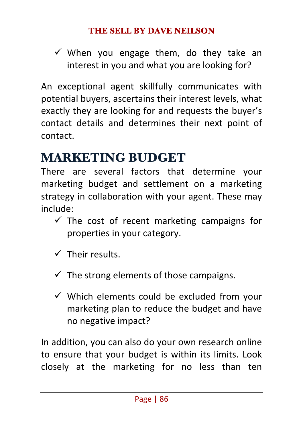$\checkmark$  When you engage them, do they take an interest in you and what you are looking for?

An exceptional agent skillfully communicates with potential buyers, ascertains their interest levels, what exactly they are looking for and requests the buyer's contact details and determines their next point of contact.

## **MARKETING BUDGET**

There are several factors that determine your marketing budget and settlement on a marketing strategy in collaboration with your agent. These may include: 

- $\checkmark$  The cost of recent marketing campaigns for properties in your category.
- $\checkmark$  Their results.
- $\checkmark$  The strong elements of those campaigns.
- $\checkmark$  Which elements could be excluded from your marketing plan to reduce the budget and have no negative impact?

In addition, you can also do your own research online to ensure that your budget is within its limits. Look closely at the marketing for no less than ten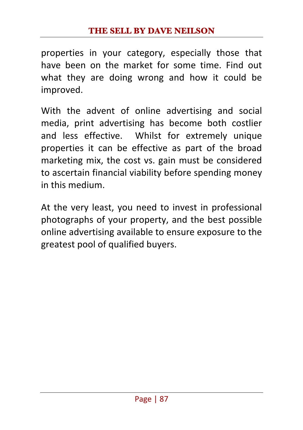properties in your category, especially those that have been on the market for some time. Find out what they are doing wrong and how it could be improved.

With the advent of online advertising and social media, print advertising has become both costlier and less effective. Whilst for extremely unique properties it can be effective as part of the broad marketing mix, the cost vs. gain must be considered to ascertain financial viability before spending money in this medium.

At the very least, you need to invest in professional photographs of your property, and the best possible online advertising available to ensure exposure to the greatest pool of qualified buyers.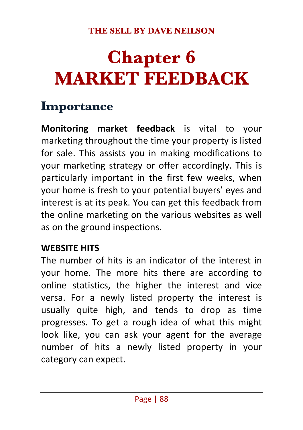# **Chapter 6 MARKET FEEDBACK**

## **Importance**

**Monitoring market feedback** is vital to your marketing throughout the time your property is listed for sale. This assists you in making modifications to your marketing strategy or offer accordingly. This is particularly important in the first few weeks, when your home is fresh to your potential buyers' eyes and interest is at its peak. You can get this feedback from the online marketing on the various websites as well as on the ground inspections.

#### **WEBSITE HITS**

The number of hits is an indicator of the interest in your home. The more hits there are according to online statistics, the higher the interest and vice versa. For a newly listed property the interest is usually quite high, and tends to drop as time progresses. To get a rough idea of what this might look like, you can ask your agent for the average number of hits a newly listed property in your category can expect.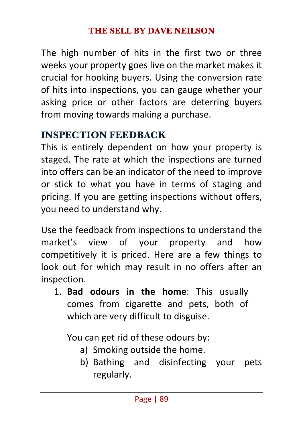The high number of hits in the first two or three weeks your property goes live on the market makes it crucial for hooking buyers. Using the conversion rate of hits into inspections, you can gauge whether your asking price or other factors are deterring buyers from moving towards making a purchase.

## **INSPECTION FEEDBACK**

This is entirely dependent on how your property is staged. The rate at which the inspections are turned into offers can be an indicator of the need to improve or stick to what you have in terms of staging and pricing. If you are getting inspections without offers, you need to understand why.

Use the feedback from inspections to understand the market's view of your property and how competitively it is priced. Here are a few things to look out for which may result in no offers after an inspection.

1. **Bad odours in the home**: This usually comes from cigarette and pets, both of which are very difficult to disguise.

You can get rid of these odours by:

- a) Smoking outside the home.
- b) Bathing and disinfecting your pets regularly.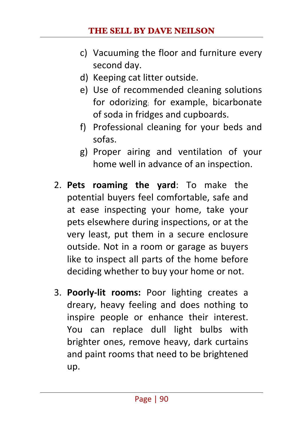#### **THE SELL BY DAVE NEILSON**

- c) Vacuuming the floor and furniture every second day.
- d) Keeping cat litter outside.
- e) Use of recommended cleaning solutions for odorizing; for example, bicarbonate of soda in fridges and cupboards.
- f) Professional cleaning for your beds and sofas.
- g) Proper airing and ventilation of your home well in advance of an inspection.
- 2. **Pets roaming the yard**: To make the potential buyers feel comfortable, safe and at ease inspecting your home, take your pets elsewhere during inspections, or at the very least, put them in a secure enclosure outside. Not in a room or garage as buyers like to inspect all parts of the home before deciding whether to buy your home or not.
- 3. **Poorly-lit rooms:** Poor lighting creates a dreary, heavy feeling and does nothing to inspire people or enhance their interest. You can replace dull light bulbs with brighter ones, remove heavy, dark curtains and paint rooms that need to be brightened up.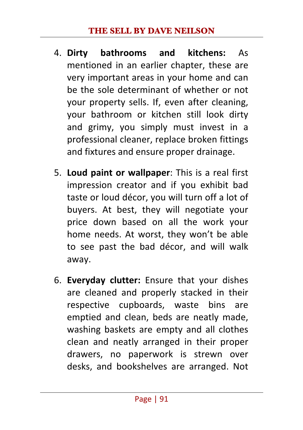- 4. **Dirty bathrooms and kitchens:** As mentioned in an earlier chapter, these are very important areas in your home and can be the sole determinant of whether or not your property sells. If, even after cleaning, your bathroom or kitchen still look dirty and grimy, you simply must invest in a professional cleaner, replace broken fittings and fixtures and ensure proper drainage.
- 5. **Loud paint or wallpaper**: This is a real first impression creator and if you exhibit bad taste or loud décor, you will turn off a lot of buyers. At best, they will negotiate your price down based on all the work your home needs. At worst, they won't be able to see past the bad décor, and will walk away.
- 6. **Everyday clutter:** Ensure that your dishes are cleaned and properly stacked in their respective cupboards, waste bins are emptied and clean, beds are neatly made. washing baskets are empty and all clothes clean and neatly arranged in their proper drawers, no paperwork is strewn over desks, and bookshelves are arranged. Not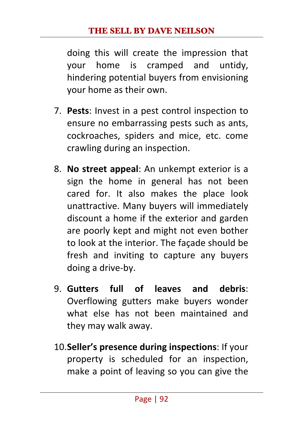doing this will create the impression that your home is cramped and untidy, hindering potential buyers from envisioning your home as their own.

- 7. **Pests:** Invest in a pest control inspection to ensure no embarrassing pests such as ants. cockroaches, spiders and mice, etc. come crawling during an inspection.
- 8. **No street appeal**: An unkempt exterior is a sign the home in general has not been cared for. It also makes the place look unattractive. Many buyers will immediately discount a home if the exterior and garden are poorly kept and might not even bother to look at the interior. The façade should be fresh and inviting to capture any buyers doing a drive-by.
- 9. **Gutters full of leaves and debris**: Overflowing gutters make buyers wonder what else has not been maintained and they may walk away.
- 10.**Seller's presence during inspections**: If your property is scheduled for an inspection, make a point of leaving so you can give the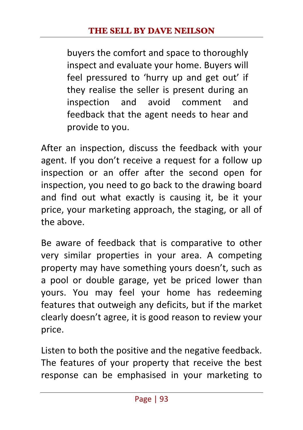buyers the comfort and space to thoroughly inspect and evaluate your home. Buyers will feel pressured to 'hurry up and get out' if they realise the seller is present during an inspection and avoid comment and feedback that the agent needs to hear and provide to you.

After an inspection, discuss the feedback with your agent. If you don't receive a request for a follow up inspection or an offer after the second open for inspection, you need to go back to the drawing board and find out what exactly is causing it, be it your price, your marketing approach, the staging, or all of the above

Be aware of feedback that is comparative to other very similar properties in your area. A competing property may have something yours doesn't, such as a pool or double garage, yet be priced lower than yours. You may feel your home has redeeming features that outweigh any deficits, but if the market clearly doesn't agree, it is good reason to review your price. 

Listen to both the positive and the negative feedback. The features of your property that receive the best response can be emphasised in your marketing to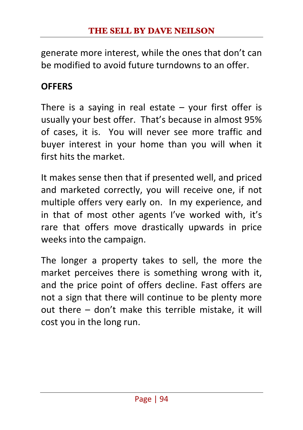generate more interest, while the ones that don't can be modified to avoid future turndowns to an offer.

## **OFFERS**

There is a saying in real estate  $-$  your first offer is usually your best offer. That's because in almost 95% of cases, it is. You will never see more traffic and buyer interest in your home than you will when it first hits the market.

It makes sense then that if presented well, and priced and marketed correctly, you will receive one, if not multiple offers very early on. In my experience, and in that of most other agents I've worked with, it's rare that offers move drastically upwards in price weeks into the campaign.

The longer a property takes to sell, the more the market perceives there is something wrong with it. and the price point of offers decline. Fast offers are not a sign that there will continue to be plenty more out there  $-$  don't make this terrible mistake, it will cost you in the long run.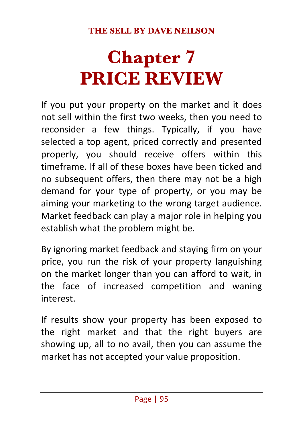# **Chapter 7 PRICE REVIEW**

If you put your property on the market and it does not sell within the first two weeks, then you need to reconsider a few things. Typically, if you have selected a top agent, priced correctly and presented properly, you should receive offers within this timeframe. If all of these boxes have been ticked and no subsequent offers, then there may not be a high demand for your type of property, or you may be aiming your marketing to the wrong target audience. Market feedback can play a major role in helping you establish what the problem might be.

By ignoring market feedback and staying firm on your price, you run the risk of your property languishing on the market longer than you can afford to wait, in the face of increased competition and waning interest. 

If results show your property has been exposed to the right market and that the right buyers are showing up, all to no avail, then you can assume the market has not accepted your value proposition.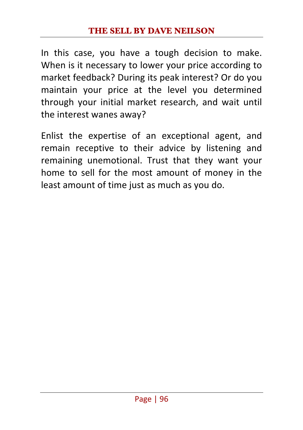In this case, you have a tough decision to make. When is it necessary to lower your price according to market feedback? During its peak interest? Or do you maintain your price at the level you determined through your initial market research, and wait until the interest wanes away?

Enlist the expertise of an exceptional agent, and remain receptive to their advice by listening and remaining unemotional. Trust that they want your home to sell for the most amount of money in the least amount of time just as much as you do.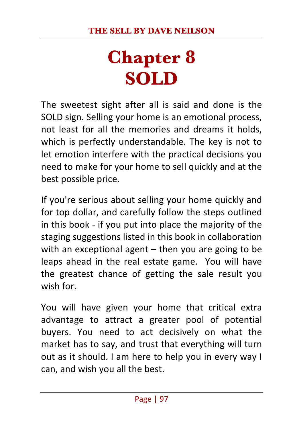# **Chapter 8 SOLD**

The sweetest sight after all is said and done is the SOLD sign. Selling your home is an emotional process, not least for all the memories and dreams it holds, which is perfectly understandable. The key is not to let emotion interfere with the practical decisions you need to make for your home to sell quickly and at the best possible price.

If you're serious about selling your home quickly and for top dollar, and carefully follow the steps outlined in this book - if you put into place the majority of the staging suggestions listed in this book in collaboration with an exceptional agent  $-$  then you are going to be leaps ahead in the real estate game. You will have the greatest chance of getting the sale result you wish for.

You will have given your home that critical extra advantage to attract a greater pool of potential buyers. You need to act decisively on what the market has to say, and trust that everything will turn out as it should. I am here to help you in every way I can, and wish you all the best.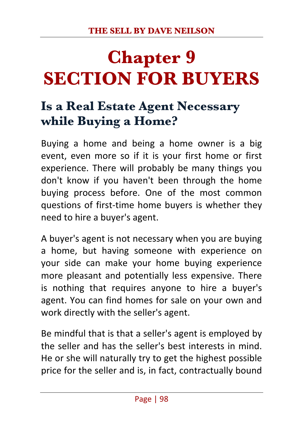# **Chapter 9 SECTION FOR BUYERS**

## **Is a Real Estate Agent Necessary while Buying a Home?**

Buying a home and being a home owner is a big event, even more so if it is your first home or first experience. There will probably be many things you don't know if you haven't been through the home buying process before. One of the most common questions of first-time home buyers is whether they need to hire a buyer's agent.

A buyer's agent is not necessary when you are buying a home, but having someone with experience on your side can make your home buying experience more pleasant and potentially less expensive. There is nothing that requires anyone to hire a buyer's agent. You can find homes for sale on your own and work directly with the seller's agent.

Be mindful that is that a seller's agent is employed by the seller and has the seller's best interests in mind. He or she will naturally try to get the highest possible price for the seller and is, in fact, contractually bound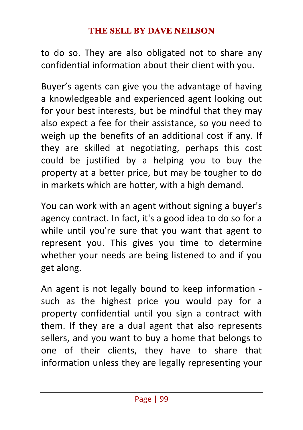to do so. They are also obligated not to share any confidential information about their client with you.

Buyer's agents can give you the advantage of having a knowledgeable and experienced agent looking out for your best interests, but be mindful that they may also expect a fee for their assistance, so you need to weigh up the benefits of an additional cost if any. If they are skilled at negotiating, perhaps this cost could be justified by a helping you to buy the property at a better price, but may be tougher to do in markets which are hotter, with a high demand.

You can work with an agent without signing a buyer's agency contract. In fact, it's a good idea to do so for a while until you're sure that you want that agent to represent you. This gives you time to determine whether your needs are being listened to and if you get along.

An agent is not legally bound to keep information such as the highest price you would pay for a property confidential until you sign a contract with them. If they are a dual agent that also represents sellers, and you want to buy a home that belongs to one of their clients, they have to share that information unless they are legally representing your